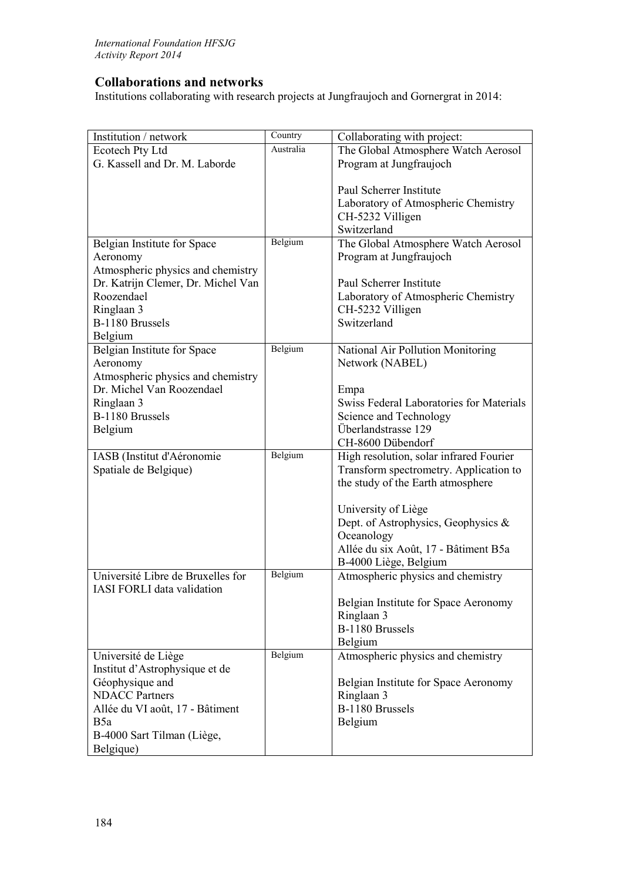## **Collaborations and networks**

Institutions collaborating with research projects at Jungfraujoch and Gornergrat in 2014:

| Institution / network              | Country   | Collaborating with project:                       |
|------------------------------------|-----------|---------------------------------------------------|
| Ecotech Pty Ltd                    | Australia | The Global Atmosphere Watch Aerosol               |
| G. Kassell and Dr. M. Laborde      |           | Program at Jungfraujoch                           |
|                                    |           |                                                   |
|                                    |           | Paul Scherrer Institute                           |
|                                    |           | Laboratory of Atmospheric Chemistry               |
|                                    |           | CH-5232 Villigen                                  |
|                                    |           | Switzerland                                       |
| Belgian Institute for Space        | Belgium   | The Global Atmosphere Watch Aerosol               |
| Aeronomy                           |           | Program at Jungfraujoch                           |
| Atmospheric physics and chemistry  |           |                                                   |
| Dr. Katrijn Clemer, Dr. Michel Van |           | Paul Scherrer Institute                           |
| Roozendael                         |           | Laboratory of Atmospheric Chemistry               |
| Ringlaan 3<br>B-1180 Brussels      |           | CH-5232 Villigen<br>Switzerland                   |
| Belgium                            |           |                                                   |
| Belgian Institute for Space        | Belgium   | National Air Pollution Monitoring                 |
| Aeronomy                           |           | Network (NABEL)                                   |
| Atmospheric physics and chemistry  |           |                                                   |
| Dr. Michel Van Roozendael          |           | Empa                                              |
| Ringlaan 3                         |           | Swiss Federal Laboratories for Materials          |
| B-1180 Brussels                    |           | Science and Technology                            |
| Belgium                            |           | Überlandstrasse 129                               |
|                                    |           | CH-8600 Dübendorf                                 |
| IASB (Institut d'Aéronomie         | Belgium   | High resolution, solar infrared Fourier           |
| Spatiale de Belgique)              |           | Transform spectrometry. Application to            |
|                                    |           | the study of the Earth atmosphere                 |
|                                    |           |                                                   |
|                                    |           | University of Liège                               |
|                                    |           | Dept. of Astrophysics, Geophysics &<br>Oceanology |
|                                    |           | Allée du six Août, 17 - Bâtiment B5a              |
|                                    |           | B-4000 Liège, Belgium                             |
| Université Libre de Bruxelles for  | Belgium   | Atmospheric physics and chemistry                 |
| <b>IASI FORLI</b> data validation  |           |                                                   |
|                                    |           | Belgian Institute for Space Aeronomy              |
|                                    |           | Ringlaan 3                                        |
|                                    |           | B-1180 Brussels                                   |
|                                    |           | Belgium                                           |
| Université de Liège                | Belgium   | Atmospheric physics and chemistry                 |
| Institut d'Astrophysique et de     |           |                                                   |
| Géophysique and                    |           | Belgian Institute for Space Aeronomy              |
| <b>NDACC</b> Partners              |           | Ringlaan 3                                        |
| Allée du VI août, 17 - Bâtiment    |           | B-1180 Brussels                                   |
| B5a                                |           | Belgium                                           |
| B-4000 Sart Tilman (Liège,         |           |                                                   |
| Belgique)                          |           |                                                   |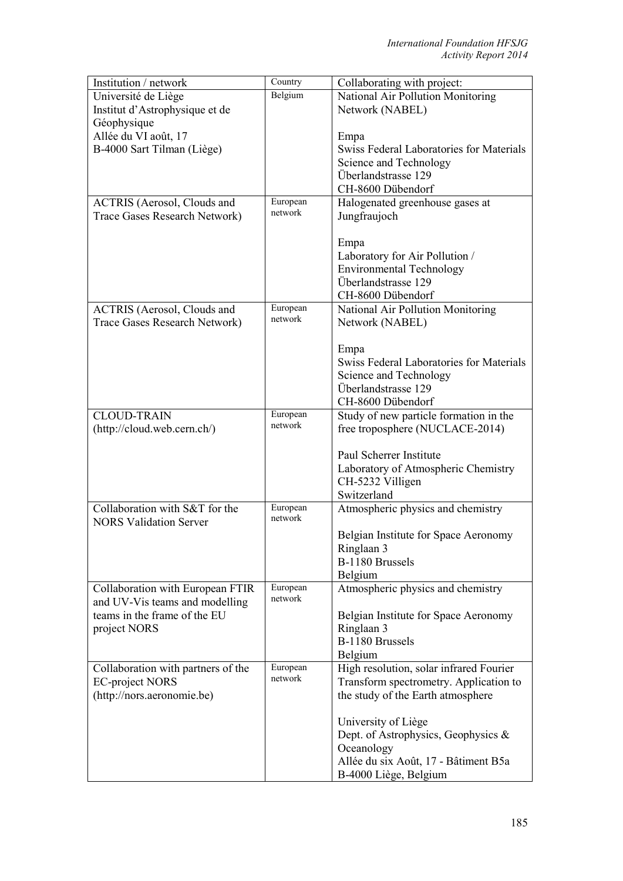| Institution / network              | Country  | Collaborating with project:              |
|------------------------------------|----------|------------------------------------------|
| Université de Liège                | Belgium  | National Air Pollution Monitoring        |
| Institut d'Astrophysique et de     |          | Network (NABEL)                          |
| Géophysique                        |          |                                          |
| Allée du VI août, 17               |          | Empa                                     |
| B-4000 Sart Tilman (Liège)         |          | Swiss Federal Laboratories for Materials |
|                                    |          | Science and Technology                   |
|                                    |          | Überlandstrasse 129                      |
|                                    |          | CH-8600 Dübendorf                        |
|                                    | European |                                          |
| <b>ACTRIS</b> (Aerosol, Clouds and | network  | Halogenated greenhouse gases at          |
| Trace Gases Research Network)      |          | Jungfraujoch                             |
|                                    |          |                                          |
|                                    |          | Empa                                     |
|                                    |          | Laboratory for Air Pollution /           |
|                                    |          | <b>Environmental Technology</b>          |
|                                    |          | Überlandstrasse 129                      |
|                                    |          | CH-8600 Dübendorf                        |
| <b>ACTRIS</b> (Aerosol, Clouds and | European | National Air Pollution Monitoring        |
| Trace Gases Research Network)      | network  | Network (NABEL)                          |
|                                    |          |                                          |
|                                    |          | Empa                                     |
|                                    |          | Swiss Federal Laboratories for Materials |
|                                    |          | Science and Technology                   |
|                                    |          | Überlandstrasse 129                      |
|                                    |          | CH-8600 Dübendorf                        |
| <b>CLOUD-TRAIN</b>                 | European | Study of new particle formation in the   |
|                                    | network  |                                          |
| (http://cloud.web.cern.ch/)        |          | free troposphere (NUCLACE-2014)          |
|                                    |          |                                          |
|                                    |          | Paul Scherrer Institute                  |
|                                    |          | Laboratory of Atmospheric Chemistry      |
|                                    |          | CH-5232 Villigen                         |
|                                    |          | Switzerland                              |
| Collaboration with S&T for the     | European | Atmospheric physics and chemistry        |
| <b>NORS Validation Server</b>      | network  |                                          |
|                                    |          | Belgian Institute for Space Aeronomy     |
|                                    |          | Ringlaan 3                               |
|                                    |          | B-1180 Brussels                          |
|                                    |          | Belgium                                  |
| Collaboration with European FTIR   | European | Atmospheric physics and chemistry        |
| and UV-Vis teams and modelling     | network  |                                          |
| teams in the frame of the EU       |          | Belgian Institute for Space Aeronomy     |
| project NORS                       |          | Ringlaan 3                               |
|                                    |          | B-1180 Brussels                          |
|                                    |          | Belgium                                  |
| Collaboration with partners of the | European | High resolution, solar infrared Fourier  |
| <b>EC-project NORS</b>             | network  | Transform spectrometry. Application to   |
| (http://nors.aeronomie.be)         |          | the study of the Earth atmosphere        |
|                                    |          |                                          |
|                                    |          |                                          |
|                                    |          | University of Liège                      |
|                                    |          | Dept. of Astrophysics, Geophysics $\&$   |
|                                    |          | Oceanology                               |
|                                    |          | Allée du six Août, 17 - Bâtiment B5a     |
|                                    |          | B-4000 Liège, Belgium                    |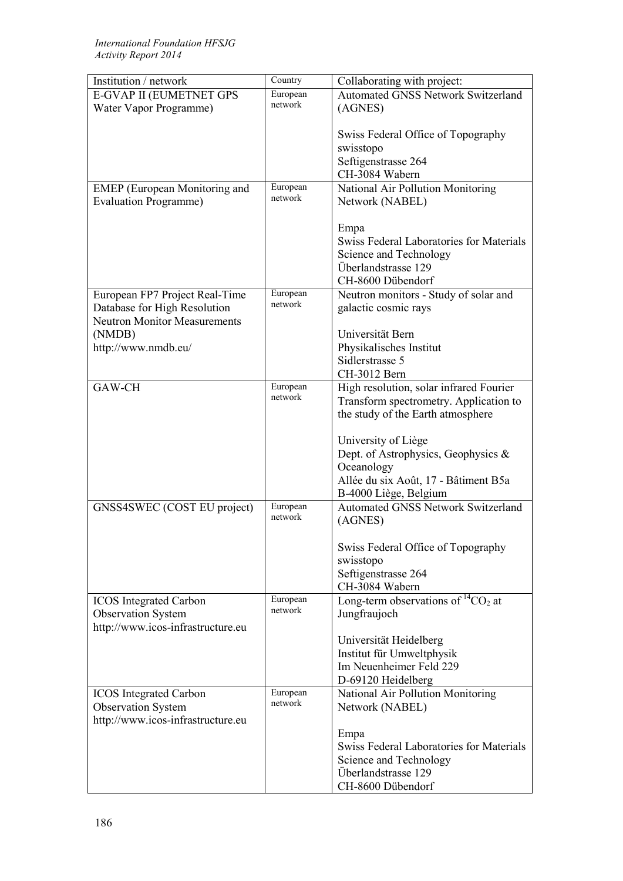| Institution / network               | Country             | Collaborating with project:                |
|-------------------------------------|---------------------|--------------------------------------------|
| E-GVAP II (EUMETNET GPS             | European            | <b>Automated GNSS Network Switzerland</b>  |
| Water Vapor Programme)              | network             | (AGNES)                                    |
|                                     |                     |                                            |
|                                     |                     | Swiss Federal Office of Topography         |
|                                     |                     | swisstopo                                  |
|                                     |                     | Seftigenstrasse 264                        |
|                                     |                     | CH-3084 Wabern                             |
| EMEP (European Monitoring and       | European            | National Air Pollution Monitoring          |
| <b>Evaluation Programme)</b>        | network             | Network (NABEL)                            |
|                                     |                     |                                            |
|                                     |                     | Empa                                       |
|                                     |                     | Swiss Federal Laboratories for Materials   |
|                                     |                     | Science and Technology                     |
|                                     |                     | Überlandstrasse 129                        |
|                                     |                     | CH-8600 Dübendorf                          |
| European FP7 Project Real-Time      | European            | Neutron monitors - Study of solar and      |
| Database for High Resolution        | network             | galactic cosmic rays                       |
| <b>Neutron Monitor Measurements</b> |                     |                                            |
| (NMDB)                              |                     | Universität Bern                           |
| http://www.nmdb.eu/                 |                     | Physikalisches Institut                    |
|                                     |                     | Sidlerstrasse 5                            |
|                                     |                     | CH-3012 Bern                               |
| GAW-CH                              | European            |                                            |
|                                     | network             | High resolution, solar infrared Fourier    |
|                                     |                     | Transform spectrometry. Application to     |
|                                     |                     | the study of the Earth atmosphere          |
|                                     |                     |                                            |
|                                     |                     | University of Liège                        |
|                                     |                     | Dept. of Astrophysics, Geophysics &        |
|                                     |                     | Oceanology                                 |
|                                     |                     | Allée du six Août, 17 - Bâtiment B5a       |
|                                     |                     | B-4000 Liège, Belgium                      |
| GNSS4SWEC (COST EU project)         | European<br>network | <b>Automated GNSS Network Switzerland</b>  |
|                                     |                     | (AGNES)                                    |
|                                     |                     |                                            |
|                                     |                     | Swiss Federal Office of Topography         |
|                                     |                     | swisstopo                                  |
|                                     |                     | Seftigenstrasse 264                        |
|                                     |                     | CH-3084 Wabern                             |
| <b>ICOS</b> Integrated Carbon       | European            | Long-term observations of ${}^{14}CO_2$ at |
| <b>Observation System</b>           | network             | Jungfraujoch                               |
| http://www.icos-infrastructure.eu   |                     |                                            |
|                                     |                     | Universität Heidelberg                     |
|                                     |                     | Institut für Umweltphysik                  |
|                                     |                     | Im Neuenheimer Feld 229                    |
|                                     |                     | D-69120 Heidelberg                         |
| <b>ICOS</b> Integrated Carbon       | European            | National Air Pollution Monitoring          |
| <b>Observation System</b>           | network             | Network (NABEL)                            |
| http://www.icos-infrastructure.eu   |                     |                                            |
|                                     |                     | Empa                                       |
|                                     |                     | Swiss Federal Laboratories for Materials   |
|                                     |                     | Science and Technology                     |
|                                     |                     | Überlandstrasse 129                        |
|                                     |                     | CH-8600 Dübendorf                          |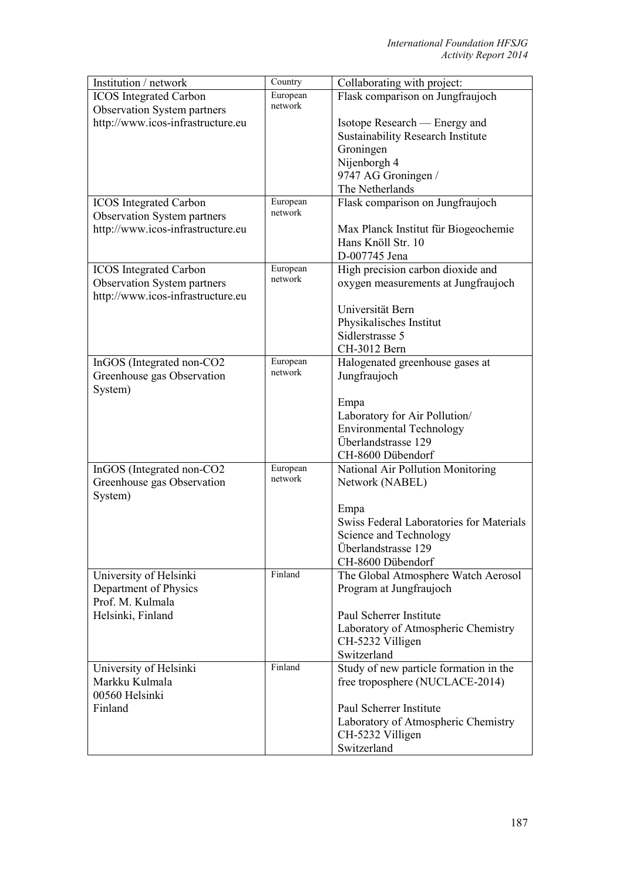| Institution / network                                               | Country             | Collaborating with project:                            |
|---------------------------------------------------------------------|---------------------|--------------------------------------------------------|
| <b>ICOS</b> Integrated Carbon                                       | European            | Flask comparison on Jungfraujoch                       |
| <b>Observation System partners</b>                                  | network             |                                                        |
| http://www.icos-infrastructure.eu                                   |                     | Isotope Research — Energy and                          |
|                                                                     |                     | <b>Sustainability Research Institute</b>               |
|                                                                     |                     | Groningen                                              |
|                                                                     |                     | Nijenborgh 4                                           |
|                                                                     |                     | 9747 AG Groningen /                                    |
|                                                                     |                     | The Netherlands                                        |
| <b>ICOS</b> Integrated Carbon<br><b>Observation System partners</b> | European<br>network | Flask comparison on Jungfraujoch                       |
| http://www.icos-infrastructure.eu                                   |                     | Max Planck Institut für Biogeochemie                   |
|                                                                     |                     | Hans Knöll Str. 10                                     |
|                                                                     |                     | D-007745 Jena                                          |
| <b>ICOS</b> Integrated Carbon                                       | European            | High precision carbon dioxide and                      |
| <b>Observation System partners</b>                                  | network             | oxygen measurements at Jungfraujoch                    |
| http://www.icos-infrastructure.eu                                   |                     |                                                        |
|                                                                     |                     | Universität Bern                                       |
|                                                                     |                     | Physikalisches Institut                                |
|                                                                     |                     | Sidlerstrasse 5                                        |
|                                                                     |                     | CH-3012 Bern                                           |
| InGOS (Integrated non-CO2<br>Greenhouse gas Observation             | European<br>network | Halogenated greenhouse gases at<br>Jungfraujoch        |
| System)                                                             |                     |                                                        |
|                                                                     |                     | Empa                                                   |
|                                                                     |                     | Laboratory for Air Pollution/                          |
|                                                                     |                     | <b>Environmental Technology</b><br>Überlandstrasse 129 |
|                                                                     |                     | CH-8600 Dübendorf                                      |
|                                                                     | European            |                                                        |
| InGOS (Integrated non-CO2                                           | network             | National Air Pollution Monitoring<br>Network (NABEL)   |
| Greenhouse gas Observation<br>System)                               |                     |                                                        |
|                                                                     |                     | Empa                                                   |
|                                                                     |                     | Swiss Federal Laboratories for Materials               |
|                                                                     |                     | Science and Technology                                 |
|                                                                     |                     | Überlandstrasse 129                                    |
|                                                                     |                     | CH-8600 Dübendorf                                      |
| University of Helsinki                                              | Finland             | The Global Atmosphere Watch Aerosol                    |
| Department of Physics                                               |                     | Program at Jungfraujoch                                |
| Prof. M. Kulmala                                                    |                     |                                                        |
| Helsinki, Finland                                                   |                     | Paul Scherrer Institute                                |
|                                                                     |                     | Laboratory of Atmospheric Chemistry                    |
|                                                                     |                     | CH-5232 Villigen                                       |
|                                                                     | Finland             | Switzerland                                            |
| University of Helsinki                                              |                     | Study of new particle formation in the                 |
| Markku Kulmala                                                      |                     | free troposphere (NUCLACE-2014)                        |
| 00560 Helsinki                                                      |                     |                                                        |
| Finland                                                             |                     | Paul Scherrer Institute                                |
|                                                                     |                     | Laboratory of Atmospheric Chemistry                    |
|                                                                     |                     | CH-5232 Villigen<br>Switzerland                        |
|                                                                     |                     |                                                        |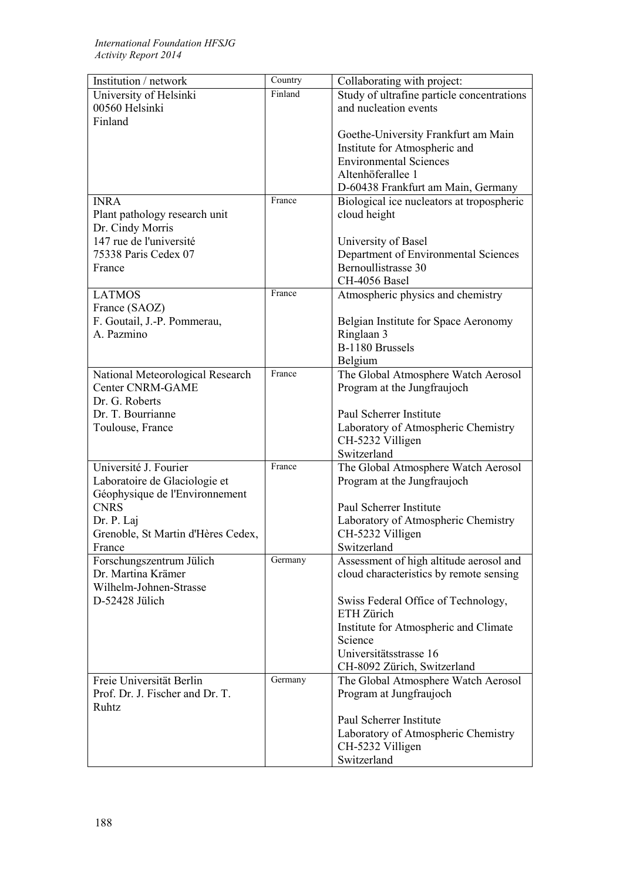| Institution / network              | Country | Collaborating with project:                |
|------------------------------------|---------|--------------------------------------------|
| University of Helsinki             | Finland | Study of ultrafine particle concentrations |
| 00560 Helsinki                     |         | and nucleation events                      |
| Finland                            |         |                                            |
|                                    |         | Goethe-University Frankfurt am Main        |
|                                    |         | Institute for Atmospheric and              |
|                                    |         | <b>Environmental Sciences</b>              |
|                                    |         | Altenhöferallee 1                          |
|                                    |         |                                            |
|                                    |         | D-60438 Frankfurt am Main, Germany         |
| <b>INRA</b>                        | France  | Biological ice nucleators at tropospheric  |
| Plant pathology research unit      |         | cloud height                               |
| Dr. Cindy Morris                   |         |                                            |
| 147 rue de l'université            |         | University of Basel                        |
| 75338 Paris Cedex 07               |         | Department of Environmental Sciences       |
| France                             |         | Bernoullistrasse 30                        |
|                                    |         | CH-4056 Basel                              |
| <b>LATMOS</b>                      | France  | Atmospheric physics and chemistry          |
| France (SAOZ)                      |         |                                            |
| F. Goutail, J.-P. Pommerau,        |         | Belgian Institute for Space Aeronomy       |
| A. Pazmino                         |         | Ringlaan 3                                 |
|                                    |         | B-1180 Brussels                            |
|                                    |         |                                            |
|                                    |         | Belgium                                    |
| National Meteorological Research   | France  | The Global Atmosphere Watch Aerosol        |
| <b>Center CNRM-GAME</b>            |         | Program at the Jungfraujoch                |
| Dr. G. Roberts                     |         |                                            |
| Dr. T. Bourrianne                  |         | Paul Scherrer Institute                    |
| Toulouse, France                   |         | Laboratory of Atmospheric Chemistry        |
|                                    |         | CH-5232 Villigen                           |
|                                    |         | Switzerland                                |
| Université J. Fourier              | France  | The Global Atmosphere Watch Aerosol        |
| Laboratoire de Glaciologie et      |         | Program at the Jungfraujoch                |
| Géophysique de l'Environnement     |         |                                            |
| <b>CNRS</b>                        |         | Paul Scherrer Institute                    |
| Dr. P. Laj                         |         | Laboratory of Atmospheric Chemistry        |
| Grenoble, St Martin d'Hères Cedex, |         | CH-5232 Villigen                           |
|                                    |         |                                            |
| France                             |         | Switzerland                                |
| Forschungszentrum Jülich           | Germany | Assessment of high altitude aerosol and    |
| Dr. Martina Krämer                 |         | cloud characteristics by remote sensing    |
| Wilhelm-Johnen-Strasse             |         |                                            |
| D-52428 Jülich                     |         | Swiss Federal Office of Technology,        |
|                                    |         | ETH Zürich                                 |
|                                    |         | Institute for Atmospheric and Climate      |
|                                    |         | Science                                    |
|                                    |         | Universitätsstrasse 16                     |
|                                    |         | CH-8092 Zürich, Switzerland                |
| Freie Universität Berlin           | Germany | The Global Atmosphere Watch Aerosol        |
| Prof. Dr. J. Fischer and Dr. T.    |         | Program at Jungfraujoch                    |
| Ruhtz                              |         |                                            |
|                                    |         | Paul Scherrer Institute                    |
|                                    |         |                                            |
|                                    |         | Laboratory of Atmospheric Chemistry        |
|                                    |         | CH-5232 Villigen                           |
|                                    |         | Switzerland                                |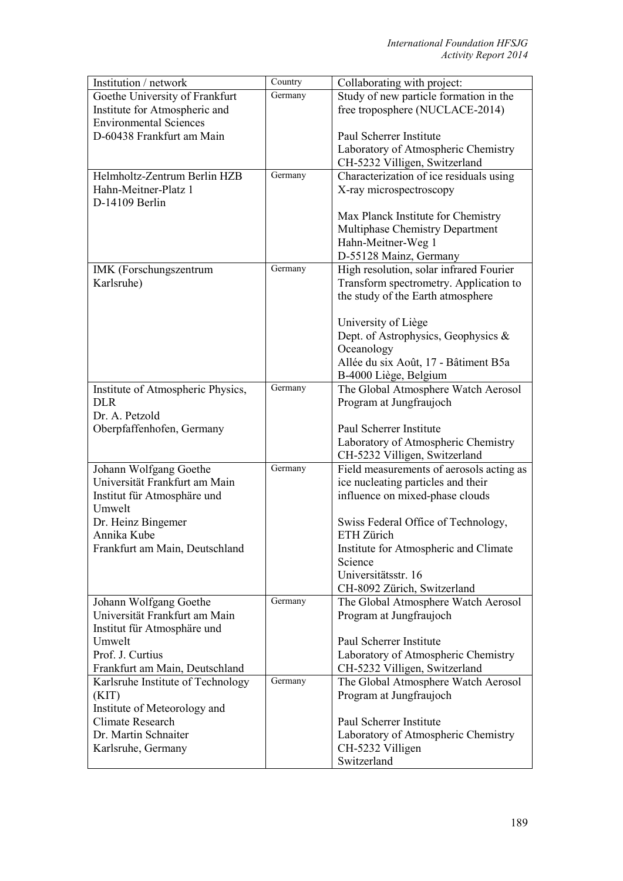| Institution / network             | Country | Collaborating with project:              |
|-----------------------------------|---------|------------------------------------------|
| Goethe University of Frankfurt    | Germany | Study of new particle formation in the   |
| Institute for Atmospheric and     |         | free troposphere (NUCLACE-2014)          |
| <b>Environmental Sciences</b>     |         |                                          |
| D-60438 Frankfurt am Main         |         | Paul Scherrer Institute                  |
|                                   |         | Laboratory of Atmospheric Chemistry      |
|                                   |         | CH-5232 Villigen, Switzerland            |
| Helmholtz-Zentrum Berlin HZB      | Germany | Characterization of ice residuals using  |
| Hahn-Meitner-Platz 1              |         | X-ray microspectroscopy                  |
| D-14109 Berlin                    |         |                                          |
|                                   |         | Max Planck Institute for Chemistry       |
|                                   |         | Multiphase Chemistry Department          |
|                                   |         | Hahn-Meitner-Weg 1                       |
|                                   |         | D-55128 Mainz, Germany                   |
| IMK (Forschungszentrum            | Germany | High resolution, solar infrared Fourier  |
| Karlsruhe)                        |         | Transform spectrometry. Application to   |
|                                   |         | the study of the Earth atmosphere        |
|                                   |         |                                          |
|                                   |         | University of Liège                      |
|                                   |         | Dept. of Astrophysics, Geophysics $\&$   |
|                                   |         | Oceanology                               |
|                                   |         | Allée du six Août, 17 - Bâtiment B5a     |
|                                   |         |                                          |
|                                   | Germany | B-4000 Liège, Belgium                    |
| Institute of Atmospheric Physics, |         | The Global Atmosphere Watch Aerosol      |
| <b>DLR</b>                        |         | Program at Jungfraujoch                  |
| Dr. A. Petzold                    |         |                                          |
| Oberpfaffenhofen, Germany         |         | Paul Scherrer Institute                  |
|                                   |         | Laboratory of Atmospheric Chemistry      |
|                                   |         | CH-5232 Villigen, Switzerland            |
| Johann Wolfgang Goethe            | Germany | Field measurements of aerosols acting as |
| Universität Frankfurt am Main     |         | ice nucleating particles and their       |
| Institut für Atmosphäre und       |         | influence on mixed-phase clouds          |
| Umwelt                            |         |                                          |
| Dr. Heinz Bingemer                |         | Swiss Federal Office of Technology,      |
| Annika Kube                       |         | ETH Zürich                               |
| Frankfurt am Main, Deutschland    |         | Institute for Atmospheric and Climate    |
|                                   |         | Science                                  |
|                                   |         | Universitätsstr. 16                      |
|                                   |         | CH-8092 Zürich, Switzerland              |
| Johann Wolfgang Goethe            | Germany | The Global Atmosphere Watch Aerosol      |
| Universität Frankfurt am Main     |         | Program at Jungfraujoch                  |
| Institut für Atmosphäre und       |         |                                          |
| Umwelt                            |         | Paul Scherrer Institute                  |
| Prof. J. Curtius                  |         | Laboratory of Atmospheric Chemistry      |
| Frankfurt am Main, Deutschland    |         | CH-5232 Villigen, Switzerland            |
| Karlsruhe Institute of Technology | Germany | The Global Atmosphere Watch Aerosol      |
| (KIT)                             |         | Program at Jungfraujoch                  |
| Institute of Meteorology and      |         |                                          |
| Climate Research                  |         | Paul Scherrer Institute                  |
| Dr. Martin Schnaiter              |         | Laboratory of Atmospheric Chemistry      |
| Karlsruhe, Germany                |         | CH-5232 Villigen                         |
|                                   |         | Switzerland                              |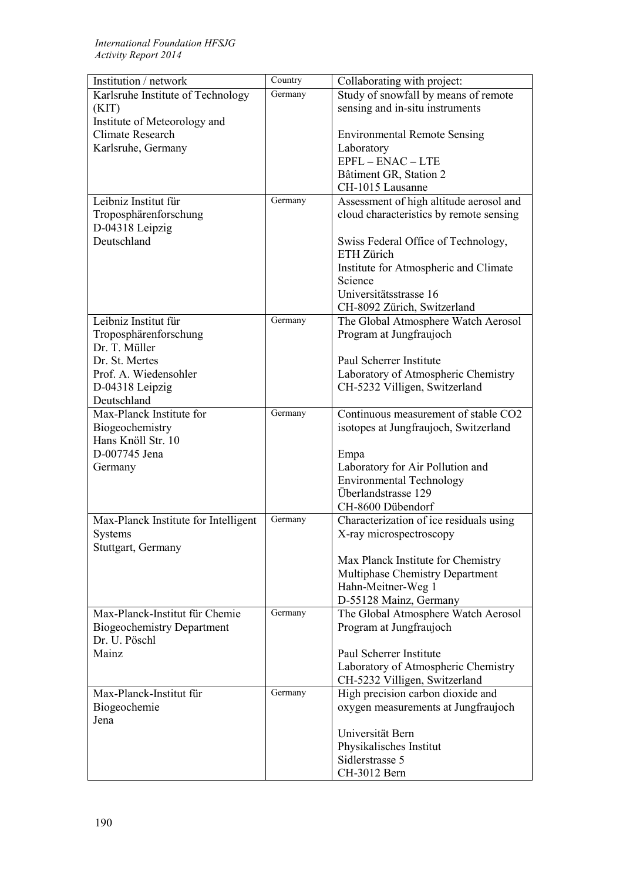| Institution / network                 | Country | Collaborating with project:             |
|---------------------------------------|---------|-----------------------------------------|
| Karlsruhe Institute of Technology     | Germany | Study of snowfall by means of remote    |
| (KIT)                                 |         | sensing and in-situ instruments         |
| Institute of Meteorology and          |         |                                         |
| Climate Research                      |         | <b>Environmental Remote Sensing</b>     |
| Karlsruhe, Germany                    |         | Laboratory                              |
|                                       |         | $EPFL - ENAC - LTE$                     |
|                                       |         | Bâtiment GR, Station 2                  |
|                                       |         | CH-1015 Lausanne                        |
| Leibniz Institut für                  | Germany | Assessment of high altitude aerosol and |
| Troposphärenforschung                 |         | cloud characteristics by remote sensing |
| D-04318 Leipzig                       |         |                                         |
| Deutschland                           |         | Swiss Federal Office of Technology,     |
|                                       |         | ETH Zürich                              |
|                                       |         | Institute for Atmospheric and Climate   |
|                                       |         | Science                                 |
|                                       |         | Universitätsstrasse 16                  |
|                                       |         | CH-8092 Zürich, Switzerland             |
| Leibniz Institut für                  | Germany | The Global Atmosphere Watch Aerosol     |
| Troposphärenforschung                 |         | Program at Jungfraujoch                 |
| Dr. T. Müller                         |         |                                         |
| Dr. St. Mertes                        |         | Paul Scherrer Institute                 |
| Prof. A. Wiedensohler                 |         | Laboratory of Atmospheric Chemistry     |
| D-04318 Leipzig                       |         | CH-5232 Villigen, Switzerland           |
| Deutschland                           | Germany |                                         |
| Max-Planck Institute for              |         | Continuous measurement of stable CO2    |
| Biogeochemistry<br>Hans Knöll Str. 10 |         | isotopes at Jungfraujoch, Switzerland   |
| D-007745 Jena                         |         | Empa                                    |
| Germany                               |         | Laboratory for Air Pollution and        |
|                                       |         | <b>Environmental Technology</b>         |
|                                       |         | Überlandstrasse 129                     |
|                                       |         | CH-8600 Dübendorf                       |
| Max-Planck Institute for Intelligent  | Germany | Characterization of ice residuals using |
| Systems                               |         | X-ray microspectroscopy                 |
| Stuttgart, Germany                    |         |                                         |
|                                       |         | Max Planck Institute for Chemistry      |
|                                       |         | Multiphase Chemistry Department         |
|                                       |         | Hahn-Meitner-Weg 1                      |
|                                       |         | D-55128 Mainz, Germany                  |
| Max-Planck-Institut für Chemie        | Germany | The Global Atmosphere Watch Aerosol     |
| <b>Biogeochemistry Department</b>     |         | Program at Jungfraujoch                 |
| Dr. U. Pöschl                         |         |                                         |
| Mainz                                 |         | Paul Scherrer Institute                 |
|                                       |         | Laboratory of Atmospheric Chemistry     |
|                                       |         | CH-5232 Villigen, Switzerland           |
| Max-Planck-Institut für               | Germany | High precision carbon dioxide and       |
| Biogeochemie                          |         | oxygen measurements at Jungfraujoch     |
| Jena                                  |         |                                         |
|                                       |         | Universität Bern                        |
|                                       |         | Physikalisches Institut                 |
|                                       |         | Sidlerstrasse 5                         |
|                                       |         | CH-3012 Bern                            |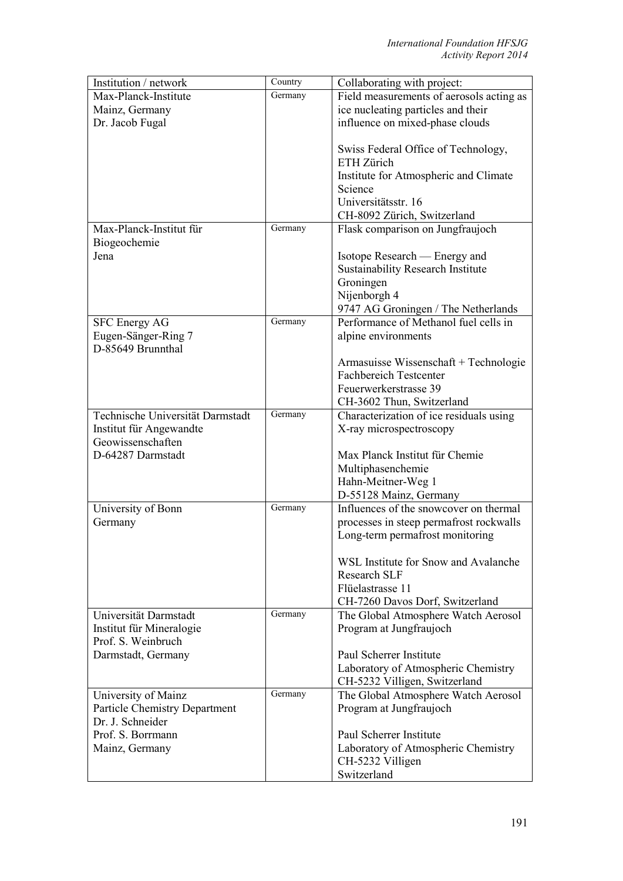| Institution / network                | Country | Collaborating with project:                                      |
|--------------------------------------|---------|------------------------------------------------------------------|
| Max-Planck-Institute                 | Germany | Field measurements of aerosols acting as                         |
| Mainz, Germany                       |         | ice nucleating particles and their                               |
| Dr. Jacob Fugal                      |         | influence on mixed-phase clouds                                  |
|                                      |         |                                                                  |
|                                      |         | Swiss Federal Office of Technology,                              |
|                                      |         | ETH Zürich                                                       |
|                                      |         | Institute for Atmospheric and Climate                            |
|                                      |         | Science                                                          |
|                                      |         | Universitätsstr. 16                                              |
|                                      |         | CH-8092 Zürich, Switzerland                                      |
| Max-Planck-Institut für              | Germany | Flask comparison on Jungfraujoch                                 |
| Biogeochemie                         |         |                                                                  |
| Jena                                 |         | Isotope Research — Energy and                                    |
|                                      |         | <b>Sustainability Research Institute</b>                         |
|                                      |         | Groningen                                                        |
|                                      |         | Nijenborgh 4                                                     |
|                                      |         | 9747 AG Groningen / The Netherlands                              |
| <b>SFC Energy AG</b>                 | Germany | Performance of Methanol fuel cells in                            |
| Eugen-Sänger-Ring 7                  |         | alpine environments                                              |
| D-85649 Brunnthal                    |         |                                                                  |
|                                      |         | Armasuisse Wissenschaft + Technologie                            |
|                                      |         | <b>Fachbereich Testcenter</b>                                    |
|                                      |         | Feuerwerkerstrasse 39                                            |
|                                      |         | CH-3602 Thun, Switzerland                                        |
| Technische Universität Darmstadt     | Germany | Characterization of ice residuals using                          |
| Institut für Angewandte              |         | X-ray microspectroscopy                                          |
| Geowissenschaften                    |         |                                                                  |
| D-64287 Darmstadt                    |         | Max Planck Institut für Chemie                                   |
|                                      |         | Multiphasenchemie                                                |
|                                      |         | Hahn-Meitner-Weg 1                                               |
|                                      | Germany | D-55128 Mainz, Germany<br>Influences of the snowcover on thermal |
| University of Bonn                   |         |                                                                  |
| Germany                              |         | processes in steep permafrost rockwalls                          |
|                                      |         | Long-term permafrost monitoring                                  |
|                                      |         | WSL Institute for Snow and Avalanche                             |
|                                      |         | <b>Research SLF</b>                                              |
|                                      |         | Flüelastrasse 11                                                 |
|                                      |         | CH-7260 Davos Dorf, Switzerland                                  |
| Universität Darmstadt                | Germany | The Global Atmosphere Watch Aerosol                              |
| Institut für Mineralogie             |         | Program at Jungfraujoch                                          |
| Prof. S. Weinbruch                   |         |                                                                  |
| Darmstadt, Germany                   |         | Paul Scherrer Institute                                          |
|                                      |         | Laboratory of Atmospheric Chemistry                              |
|                                      |         | CH-5232 Villigen, Switzerland                                    |
| University of Mainz                  | Germany | The Global Atmosphere Watch Aerosol                              |
| <b>Particle Chemistry Department</b> |         | Program at Jungfraujoch                                          |
| Dr. J. Schneider                     |         |                                                                  |
| Prof. S. Borrmann                    |         | Paul Scherrer Institute                                          |
| Mainz, Germany                       |         | Laboratory of Atmospheric Chemistry                              |
|                                      |         | CH-5232 Villigen                                                 |
|                                      |         | Switzerland                                                      |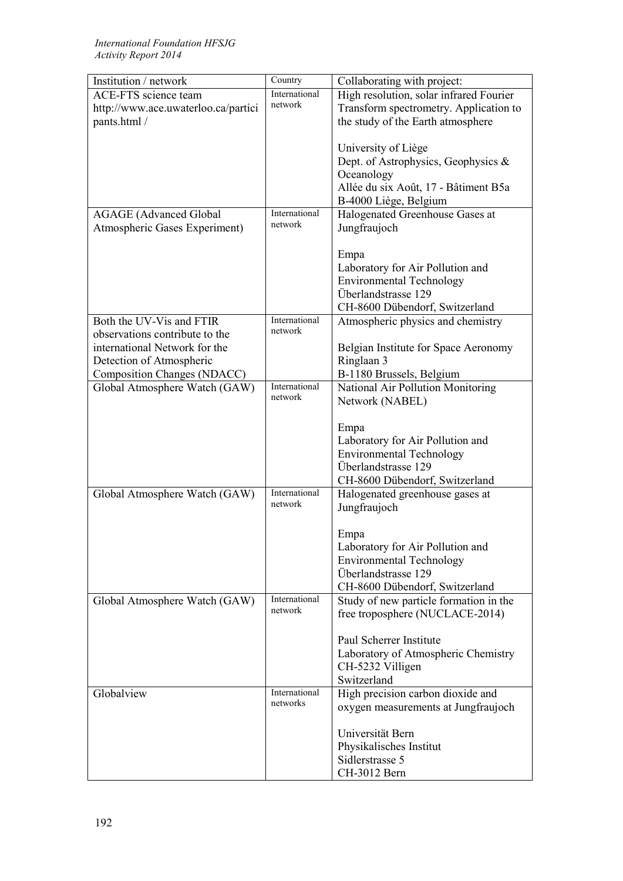| Institution / network               | Country                   | Collaborating with project:             |
|-------------------------------------|---------------------------|-----------------------------------------|
| <b>ACE-FTS</b> science team         | International             | High resolution, solar infrared Fourier |
| http://www.ace.uwaterloo.ca/partici | network                   | Transform spectrometry. Application to  |
| pants.html /                        |                           | the study of the Earth atmosphere       |
|                                     |                           |                                         |
|                                     |                           | University of Liège                     |
|                                     |                           | Dept. of Astrophysics, Geophysics &     |
|                                     |                           | Oceanology                              |
|                                     |                           | Allée du six Août, 17 - Bâtiment B5a    |
|                                     |                           | B-4000 Liège, Belgium                   |
|                                     | International             |                                         |
| <b>AGAGE</b> (Advanced Global       | network                   | Halogenated Greenhouse Gases at         |
| Atmospheric Gases Experiment)       |                           | Jungfraujoch                            |
|                                     |                           |                                         |
|                                     |                           | Empa                                    |
|                                     |                           | Laboratory for Air Pollution and        |
|                                     |                           | <b>Environmental Technology</b>         |
|                                     |                           | Überlandstrasse 129                     |
|                                     |                           | CH-8600 Dübendorf, Switzerland          |
| Both the UV-Vis and FTIR            | International             | Atmospheric physics and chemistry       |
| observations contribute to the      | network                   |                                         |
| international Network for the       |                           | Belgian Institute for Space Aeronomy    |
| Detection of Atmospheric            |                           | Ringlaan 3                              |
| Composition Changes (NDACC)         |                           | B-1180 Brussels, Belgium                |
| Global Atmosphere Watch (GAW)       | International             | National Air Pollution Monitoring       |
|                                     | network                   | Network (NABEL)                         |
|                                     |                           |                                         |
|                                     |                           | Empa                                    |
|                                     |                           |                                         |
|                                     |                           | Laboratory for Air Pollution and        |
|                                     |                           | <b>Environmental Technology</b>         |
|                                     |                           | Überlandstrasse 129                     |
|                                     |                           | CH-8600 Dübendorf, Switzerland          |
| Global Atmosphere Watch (GAW)       | International<br>network  | Halogenated greenhouse gases at         |
|                                     |                           | Jungfraujoch                            |
|                                     |                           |                                         |
|                                     |                           | Empa                                    |
|                                     |                           | Laboratory for Air Pollution and        |
|                                     |                           | <b>Environmental Technology</b>         |
|                                     |                           | Überlandstrasse 129                     |
|                                     |                           | CH-8600 Dübendorf, Switzerland          |
| Global Atmosphere Watch (GAW)       | International             | Study of new particle formation in the  |
|                                     | network                   | free troposphere (NUCLACE-2014)         |
|                                     |                           |                                         |
|                                     |                           | Paul Scherrer Institute                 |
|                                     |                           | Laboratory of Atmospheric Chemistry     |
|                                     |                           |                                         |
|                                     |                           | CH-5232 Villigen<br>Switzerland         |
|                                     |                           |                                         |
| Globalview                          | International<br>networks | High precision carbon dioxide and       |
|                                     |                           | oxygen measurements at Jungfraujoch     |
|                                     |                           |                                         |
|                                     |                           | Universität Bern                        |
|                                     |                           | Physikalisches Institut                 |
|                                     |                           | Sidlerstrasse 5                         |
|                                     |                           | CH-3012 Bern                            |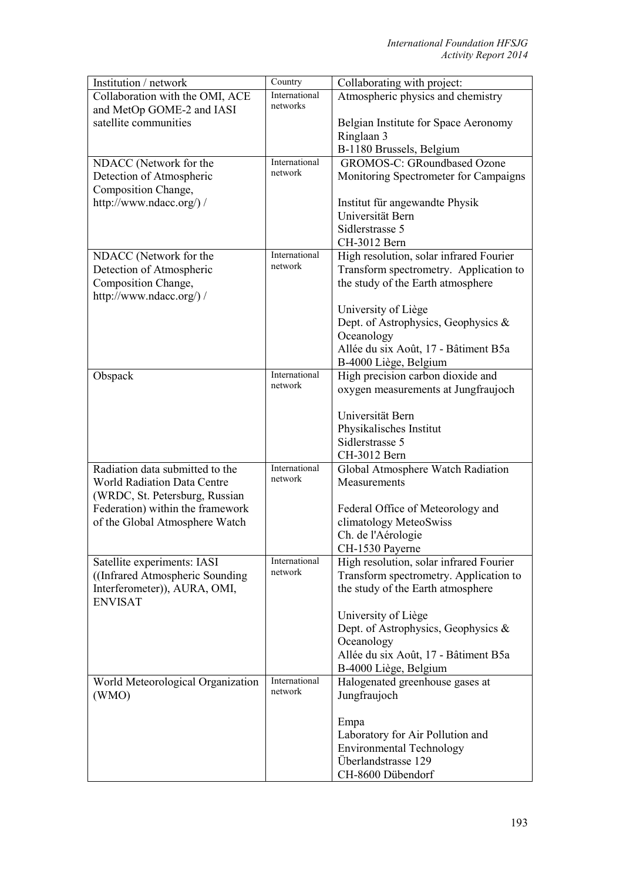| Institution / network                          | Country                  | Collaborating with project:                                              |
|------------------------------------------------|--------------------------|--------------------------------------------------------------------------|
| Collaboration with the OMI, ACE                | International            | Atmospheric physics and chemistry                                        |
| and MetOp GOME-2 and IASI                      | networks                 |                                                                          |
| satellite communities                          |                          | Belgian Institute for Space Aeronomy                                     |
|                                                |                          | Ringlaan 3                                                               |
|                                                |                          | B-1180 Brussels, Belgium                                                 |
| NDACC (Network for the                         | International<br>network | <b>GROMOS-C: GRoundbased Ozone</b>                                       |
| Detection of Atmospheric                       |                          | Monitoring Spectrometer for Campaigns                                    |
| Composition Change,<br>http://www.ndacc.org/)/ |                          | Institut für angewandte Physik                                           |
|                                                |                          | Universität Bern                                                         |
|                                                |                          | Sidlerstrasse 5                                                          |
|                                                |                          | CH-3012 Bern                                                             |
| NDACC (Network for the                         | International            | High resolution, solar infrared Fourier                                  |
| Detection of Atmospheric                       | network                  | Transform spectrometry. Application to                                   |
| Composition Change,                            |                          | the study of the Earth atmosphere                                        |
| http://www.ndacc.org/) /                       |                          |                                                                          |
|                                                |                          | University of Liège                                                      |
|                                                |                          | Dept. of Astrophysics, Geophysics &                                      |
|                                                |                          | Oceanology                                                               |
|                                                |                          | Allée du six Août, 17 - Bâtiment B5a                                     |
|                                                | International            | B-4000 Liège, Belgium                                                    |
| Obspack                                        | network                  | High precision carbon dioxide and<br>oxygen measurements at Jungfraujoch |
|                                                |                          |                                                                          |
|                                                |                          | Universität Bern                                                         |
|                                                |                          | Physikalisches Institut                                                  |
|                                                |                          | Sidlerstrasse 5                                                          |
|                                                |                          | CH-3012 Bern                                                             |
| Radiation data submitted to the                | International            | Global Atmosphere Watch Radiation                                        |
| <b>World Radiation Data Centre</b>             | network                  | Measurements                                                             |
| (WRDC, St. Petersburg, Russian                 |                          |                                                                          |
| Federation) within the framework               |                          | Federal Office of Meteorology and                                        |
| of the Global Atmosphere Watch                 |                          | climatology MeteoSwiss                                                   |
|                                                |                          | Ch. de l'Aérologie                                                       |
| Satellite experiments: IASI                    | International            | CH-1530 Payerne<br>High resolution, solar infrared Fourier               |
| ((Infrared Atmospheric Sounding)               | network                  | Transform spectrometry. Application to                                   |
| Interferometer)), AURA, OMI,                   |                          | the study of the Earth atmosphere                                        |
| <b>ENVISAT</b>                                 |                          |                                                                          |
|                                                |                          | University of Liège                                                      |
|                                                |                          | Dept. of Astrophysics, Geophysics &                                      |
|                                                |                          | Oceanology                                                               |
|                                                |                          | Allée du six Août, 17 - Bâtiment B5a                                     |
|                                                |                          | B-4000 Liège, Belgium                                                    |
| World Meteorological Organization              | International<br>network | Halogenated greenhouse gases at                                          |
| (WMO)                                          |                          | Jungfraujoch                                                             |
|                                                |                          |                                                                          |
|                                                |                          | Empa                                                                     |
|                                                |                          | Laboratory for Air Pollution and<br><b>Environmental Technology</b>      |
|                                                |                          | Überlandstrasse 129                                                      |
|                                                |                          | CH-8600 Dübendorf                                                        |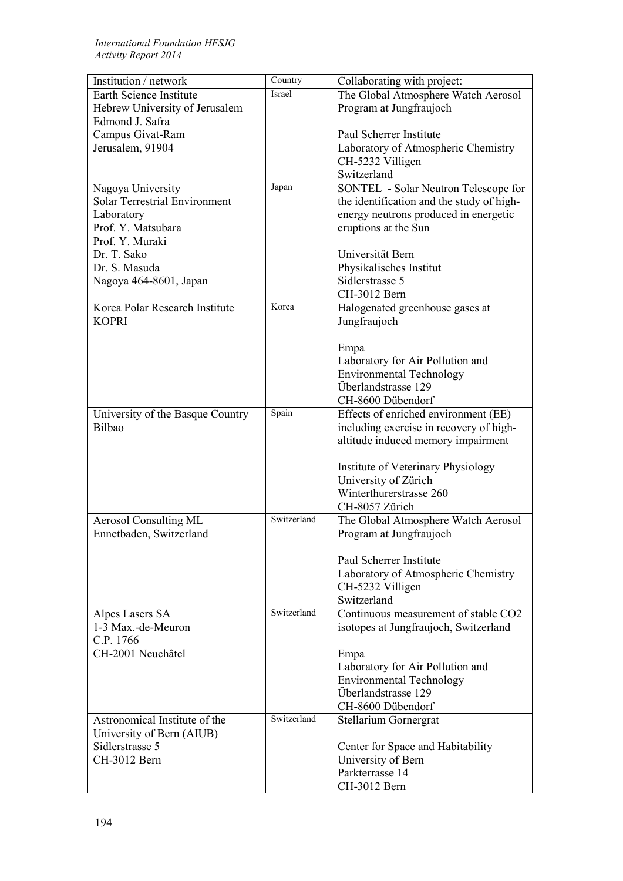| Institution / network                | Country     | Collaborating with project:               |
|--------------------------------------|-------------|-------------------------------------------|
| Earth Science Institute              | Israel      | The Global Atmosphere Watch Aerosol       |
| Hebrew University of Jerusalem       |             | Program at Jungfraujoch                   |
| Edmond J. Safra                      |             |                                           |
| Campus Givat-Ram                     |             | Paul Scherrer Institute                   |
| Jerusalem, 91904                     |             | Laboratory of Atmospheric Chemistry       |
|                                      |             | CH-5232 Villigen                          |
|                                      |             | Switzerland                               |
| Nagoya University                    | Japan       | SONTEL - Solar Neutron Telescope for      |
| <b>Solar Terrestrial Environment</b> |             | the identification and the study of high- |
| Laboratory                           |             | energy neutrons produced in energetic     |
| Prof. Y. Matsubara                   |             | eruptions at the Sun                      |
| Prof. Y. Muraki                      |             |                                           |
| Dr. T. Sako                          |             | Universität Bern                          |
| Dr. S. Masuda                        |             | Physikalisches Institut                   |
| Nagoya 464-8601, Japan               |             | Sidlerstrasse 5                           |
|                                      |             | CH-3012 Bern                              |
| Korea Polar Research Institute       | Korea       | Halogenated greenhouse gases at           |
| <b>KOPRI</b>                         |             | Jungfraujoch                              |
|                                      |             |                                           |
|                                      |             | Empa                                      |
|                                      |             | Laboratory for Air Pollution and          |
|                                      |             | <b>Environmental Technology</b>           |
|                                      |             | Überlandstrasse 129                       |
|                                      |             | CH-8600 Dübendorf                         |
| University of the Basque Country     | Spain       | Effects of enriched environment (EE)      |
| Bilbao                               |             | including exercise in recovery of high-   |
|                                      |             | altitude induced memory impairment        |
|                                      |             |                                           |
|                                      |             | Institute of Veterinary Physiology        |
|                                      |             | University of Zürich                      |
|                                      |             | Winterthurerstrasse 260                   |
|                                      | Switzerland | CH-8057 Zürich                            |
| <b>Aerosol Consulting ML</b>         |             | The Global Atmosphere Watch Aerosol       |
| Ennetbaden, Switzerland              |             | Program at Jungfraujoch                   |
|                                      |             | Paul Scherrer Institute                   |
|                                      |             | Laboratory of Atmospheric Chemistry       |
|                                      |             | CH-5232 Villigen                          |
|                                      |             | Switzerland                               |
| Alpes Lasers SA                      | Switzerland | Continuous measurement of stable CO2      |
| 1-3 Max.-de-Meuron                   |             | isotopes at Jungfraujoch, Switzerland     |
| C.P. 1766                            |             |                                           |
| CH-2001 Neuchâtel                    |             | Empa                                      |
|                                      |             | Laboratory for Air Pollution and          |
|                                      |             | <b>Environmental Technology</b>           |
|                                      |             | Überlandstrasse 129                       |
|                                      |             | CH-8600 Dübendorf                         |
| Astronomical Institute of the        | Switzerland | Stellarium Gornergrat                     |
| University of Bern (AIUB)            |             |                                           |
| Sidlerstrasse 5                      |             | Center for Space and Habitability         |
| CH-3012 Bern                         |             | University of Bern                        |
|                                      |             | Parkterrasse 14                           |
|                                      |             | CH-3012 Bern                              |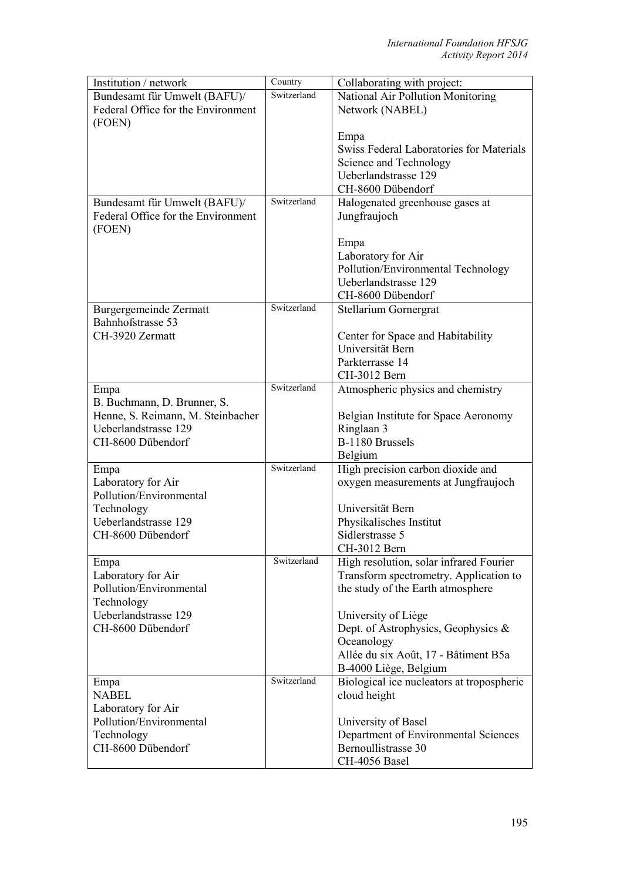| Institution / network              | Country     | Collaborating with project:               |
|------------------------------------|-------------|-------------------------------------------|
| Bundesamt für Umwelt (BAFU)/       | Switzerland | National Air Pollution Monitoring         |
| Federal Office for the Environment |             | Network (NABEL)                           |
| (FOEN)                             |             |                                           |
|                                    |             | Empa                                      |
|                                    |             | Swiss Federal Laboratories for Materials  |
|                                    |             | Science and Technology                    |
|                                    |             | Ueberlandstrasse 129                      |
|                                    |             |                                           |
|                                    |             | CH-8600 Dübendorf                         |
| Bundesamt für Umwelt (BAFU)/       | Switzerland | Halogenated greenhouse gases at           |
| Federal Office for the Environment |             | Jungfraujoch                              |
| (FOEN)                             |             |                                           |
|                                    |             | Empa                                      |
|                                    |             | Laboratory for Air                        |
|                                    |             | Pollution/Environmental Technology        |
|                                    |             | Ueberlandstrasse 129                      |
|                                    |             | CH-8600 Dübendorf                         |
| Burgergemeinde Zermatt             | Switzerland | Stellarium Gornergrat                     |
| Bahnhofstrasse 53                  |             |                                           |
| CH-3920 Zermatt                    |             |                                           |
|                                    |             | Center for Space and Habitability         |
|                                    |             | Universität Bern                          |
|                                    |             | Parkterrasse 14                           |
|                                    |             | CH-3012 Bern                              |
| Empa                               | Switzerland | Atmospheric physics and chemistry         |
| B. Buchmann, D. Brunner, S.        |             |                                           |
| Henne, S. Reimann, M. Steinbacher  |             | Belgian Institute for Space Aeronomy      |
| Ueberlandstrasse 129               |             | Ringlaan 3                                |
| CH-8600 Dübendorf                  |             | B-1180 Brussels                           |
|                                    |             | Belgium                                   |
| Empa                               | Switzerland | High precision carbon dioxide and         |
| Laboratory for Air                 |             | oxygen measurements at Jungfraujoch       |
| Pollution/Environmental            |             |                                           |
|                                    |             |                                           |
| Technology                         |             | Universität Bern                          |
| Ueberlandstrasse 129               |             | Physikalisches Institut                   |
| CH-8600 Dübendorf                  |             | Sidlerstrasse 5                           |
|                                    |             | CH-3012 Bern                              |
| Empa                               | Switzerland | High resolution, solar infrared Fourier   |
| Laboratory for Air                 |             | Transform spectrometry. Application to    |
| Pollution/Environmental            |             | the study of the Earth atmosphere         |
| Technology                         |             |                                           |
| Ueberlandstrasse 129               |             | University of Liège                       |
| CH-8600 Dübendorf                  |             | Dept. of Astrophysics, Geophysics &       |
|                                    |             | Oceanology                                |
|                                    |             |                                           |
|                                    |             | Allée du six Août, 17 - Bâtiment B5a      |
|                                    |             | B-4000 Liège, Belgium                     |
| Empa                               | Switzerland | Biological ice nucleators at tropospheric |
| <b>NABEL</b>                       |             | cloud height                              |
| Laboratory for Air                 |             |                                           |
| Pollution/Environmental            |             | University of Basel                       |
| Technology                         |             | Department of Environmental Sciences      |
| CH-8600 Dübendorf                  |             | Bernoullistrasse 30                       |
|                                    |             | CH-4056 Basel                             |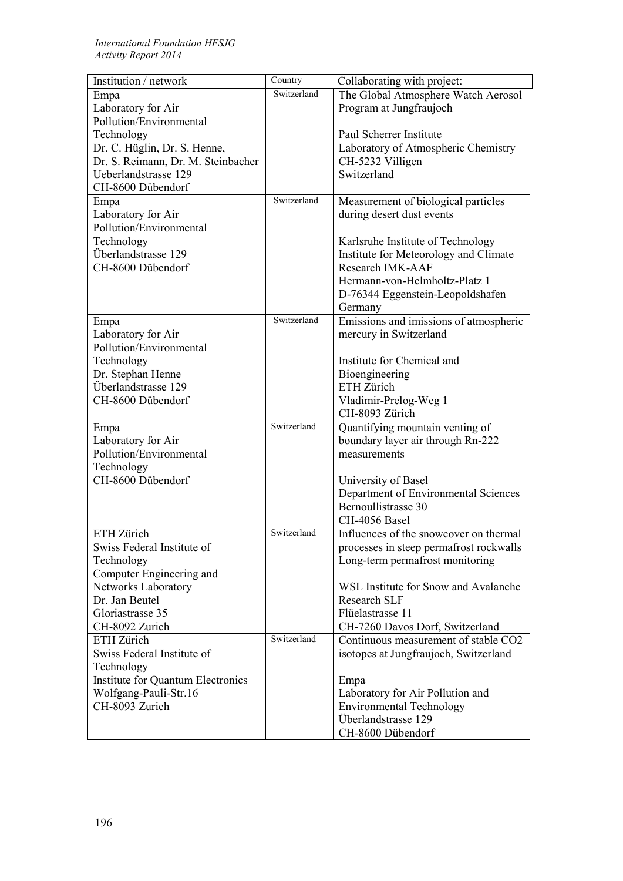| Institution / network              | Country     | Collaborating with project:             |
|------------------------------------|-------------|-----------------------------------------|
| Empa                               | Switzerland | The Global Atmosphere Watch Aerosol     |
| Laboratory for Air                 |             | Program at Jungfraujoch                 |
| Pollution/Environmental            |             |                                         |
| Technology                         |             | Paul Scherrer Institute                 |
| Dr. C. Hüglin, Dr. S. Henne,       |             | Laboratory of Atmospheric Chemistry     |
| Dr. S. Reimann, Dr. M. Steinbacher |             | CH-5232 Villigen                        |
| Ueberlandstrasse 129               |             | Switzerland                             |
| CH-8600 Dübendorf                  |             |                                         |
| Empa                               | Switzerland | Measurement of biological particles     |
| Laboratory for Air                 |             | during desert dust events               |
| Pollution/Environmental            |             |                                         |
| Technology                         |             | Karlsruhe Institute of Technology       |
| Überlandstrasse 129                |             | Institute for Meteorology and Climate   |
| CH-8600 Dübendorf                  |             | Research IMK-AAF                        |
|                                    |             | Hermann-von-Helmholtz-Platz 1           |
|                                    |             | D-76344 Eggenstein-Leopoldshafen        |
|                                    | Switzerland | Germany                                 |
| Empa<br>Laboratory for Air         |             | Emissions and imissions of atmospheric  |
| Pollution/Environmental            |             | mercury in Switzerland                  |
| Technology                         |             | Institute for Chemical and              |
| Dr. Stephan Henne                  |             | Bioengineering                          |
| Überlandstrasse 129                |             | ETH Zürich                              |
| CH-8600 Dübendorf                  |             | Vladimir-Prelog-Weg 1                   |
|                                    |             | CH-8093 Zürich                          |
| Empa                               | Switzerland | Quantifying mountain venting of         |
| Laboratory for Air                 |             | boundary layer air through Rn-222       |
| Pollution/Environmental            |             | measurements                            |
| Technology                         |             |                                         |
| CH-8600 Dübendorf                  |             | University of Basel                     |
|                                    |             | Department of Environmental Sciences    |
|                                    |             | Bernoullistrasse 30                     |
|                                    |             | CH-4056 Basel                           |
| ETH Zürich                         | Switzerland | Influences of the snowcover on thermal  |
| Swiss Federal Institute of         |             | processes in steep permafrost rockwalls |
| Technology                         |             | Long-term permafrost monitoring         |
| Computer Engineering and           |             |                                         |
| Networks Laboratory                |             | WSL Institute for Snow and Avalanche    |
| Dr. Jan Beutel                     |             | <b>Research SLF</b>                     |
| Gloriastrasse 35                   |             | Flüelastrasse 11                        |
| CH-8092 Zurich                     |             | CH-7260 Davos Dorf, Switzerland         |
| ETH Zürich                         | Switzerland | Continuous measurement of stable CO2    |
| Swiss Federal Institute of         |             | isotopes at Jungfraujoch, Switzerland   |
| Technology                         |             |                                         |
| Institute for Quantum Electronics  |             | Empa                                    |
| Wolfgang-Pauli-Str.16              |             | Laboratory for Air Pollution and        |
| CH-8093 Zurich                     |             | <b>Environmental Technology</b>         |
|                                    |             | Überlandstrasse 129                     |
|                                    |             | CH-8600 Dübendorf                       |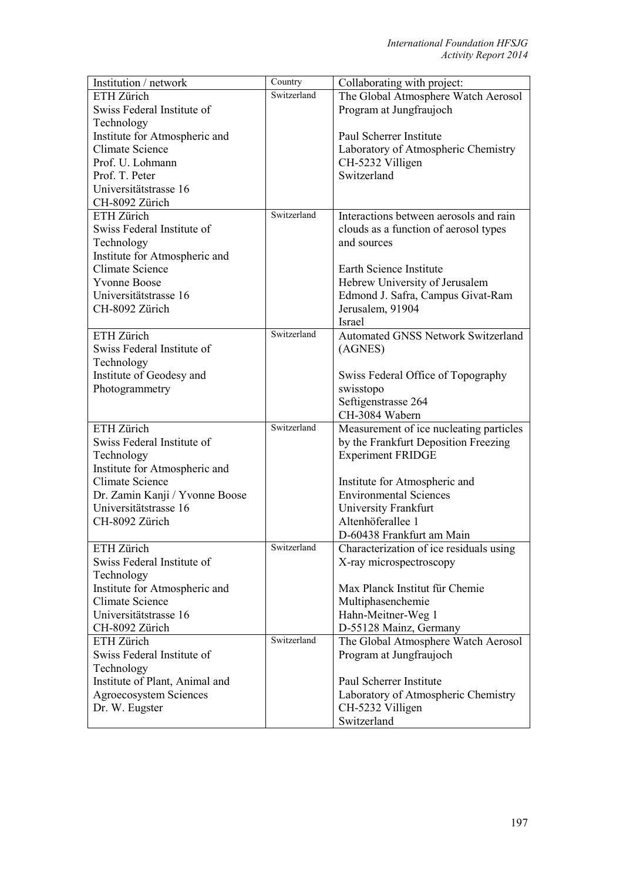| Institution / network          | Country     | Collaborating with project:               |
|--------------------------------|-------------|-------------------------------------------|
| ETH Zürich                     | Switzerland | The Global Atmosphere Watch Aerosol       |
| Swiss Federal Institute of     |             | Program at Jungfraujoch                   |
| Technology                     |             |                                           |
| Institute for Atmospheric and  |             | Paul Scherrer Institute                   |
| <b>Climate Science</b>         |             | Laboratory of Atmospheric Chemistry       |
| Prof. U. Lohmann               |             | CH-5232 Villigen                          |
| Prof. T. Peter                 |             | Switzerland                               |
| Universitätstrasse 16          |             |                                           |
| CH-8092 Zürich                 |             |                                           |
| ETH Zürich                     | Switzerland | Interactions between aerosols and rain    |
| Swiss Federal Institute of     |             | clouds as a function of aerosol types     |
| Technology                     |             | and sources                               |
| Institute for Atmospheric and  |             |                                           |
| Climate Science                |             | Earth Science Institute                   |
| <b>Yvonne Boose</b>            |             | Hebrew University of Jerusalem            |
| Universitätstrasse 16          |             | Edmond J. Safra, Campus Givat-Ram         |
| CH-8092 Zürich                 |             | Jerusalem, 91904                          |
|                                |             | <b>Israel</b>                             |
| ETH Zürich                     | Switzerland | <b>Automated GNSS Network Switzerland</b> |
| Swiss Federal Institute of     |             | (AGNES)                                   |
| Technology                     |             |                                           |
| Institute of Geodesy and       |             | Swiss Federal Office of Topography        |
| Photogrammetry                 |             | swisstopo                                 |
|                                |             | Seftigenstrasse 264                       |
|                                |             | CH-3084 Wabern                            |
| ETH Zürich                     | Switzerland | Measurement of ice nucleating particles   |
| Swiss Federal Institute of     |             | by the Frankfurt Deposition Freezing      |
| Technology                     |             | <b>Experiment FRIDGE</b>                  |
| Institute for Atmospheric and  |             |                                           |
| Climate Science                |             | Institute for Atmospheric and             |
| Dr. Zamin Kanji / Yvonne Boose |             | <b>Environmental Sciences</b>             |
| Universitätstrasse 16          |             | University Frankfurt                      |
| CH-8092 Zürich                 |             | Altenhöferallee 1                         |
|                                |             | D-60438 Frankfurt am Main                 |
| ETH Zürich                     | Switzerland | Characterization of ice residuals using   |
| Swiss Federal Institute of     |             | X-ray microspectroscopy                   |
| Technology                     |             |                                           |
| Institute for Atmospheric and  |             | Max Planck Institut für Chemie            |
| <b>Climate Science</b>         |             | Multiphasenchemie                         |
| Universitätstrasse 16          |             | Hahn-Meitner-Weg 1                        |
| CH-8092 Zürich                 |             | D-55128 Mainz, Germany                    |
| ETH Zürich                     | Switzerland | The Global Atmosphere Watch Aerosol       |
| Swiss Federal Institute of     |             | Program at Jungfraujoch                   |
| Technology                     |             |                                           |
| Institute of Plant, Animal and |             | Paul Scherrer Institute                   |
| Agroecosystem Sciences         |             | Laboratory of Atmospheric Chemistry       |
| Dr. W. Eugster                 |             | CH-5232 Villigen                          |
|                                |             | Switzerland                               |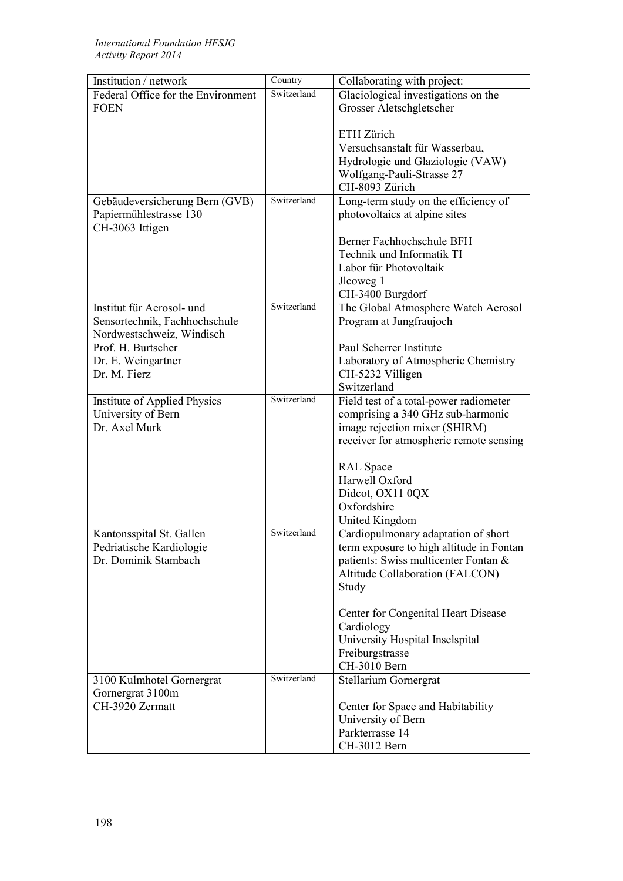| Institution / network              | Country     | Collaborating with project:              |
|------------------------------------|-------------|------------------------------------------|
| Federal Office for the Environment | Switzerland | Glaciological investigations on the      |
| <b>FOEN</b>                        |             | Grosser Aletschgletscher                 |
|                                    |             |                                          |
|                                    |             | ETH Zürich                               |
|                                    |             | Versuchsanstalt für Wasserbau,           |
|                                    |             | Hydrologie und Glaziologie (VAW)         |
|                                    |             | Wolfgang-Pauli-Strasse 27                |
|                                    |             | CH-8093 Zürich                           |
| Gebäudeversicherung Bern (GVB)     | Switzerland | Long-term study on the efficiency of     |
| Papiermühlestrasse 130             |             | photovoltaics at alpine sites            |
| CH-3063 Ittigen                    |             |                                          |
|                                    |             | Berner Fachhochschule BFH                |
|                                    |             | Technik und Informatik TI                |
|                                    |             |                                          |
|                                    |             | Labor für Photovoltaik                   |
|                                    |             | Jlcoweg 1                                |
|                                    |             | CH-3400 Burgdorf                         |
| Institut für Aerosol- und          | Switzerland | The Global Atmosphere Watch Aerosol      |
| Sensortechnik, Fachhochschule      |             | Program at Jungfraujoch                  |
| Nordwestschweiz, Windisch          |             |                                          |
| Prof. H. Burtscher                 |             | Paul Scherrer Institute                  |
| Dr. E. Weingartner                 |             | Laboratory of Atmospheric Chemistry      |
| Dr. M. Fierz                       |             | CH-5232 Villigen                         |
|                                    |             | Switzerland                              |
| Institute of Applied Physics       | Switzerland | Field test of a total-power radiometer   |
| University of Bern                 |             | comprising a 340 GHz sub-harmonic        |
| Dr. Axel Murk                      |             | image rejection mixer (SHIRM)            |
|                                    |             | receiver for atmospheric remote sensing  |
|                                    |             |                                          |
|                                    |             | <b>RAL</b> Space                         |
|                                    |             | Harwell Oxford                           |
|                                    |             | Didcot, OX11 0QX                         |
|                                    |             | Oxfordshire                              |
|                                    |             | United Kingdom                           |
| Kantonsspital St. Gallen           | Switzerland | Cardiopulmonary adaptation of short      |
| Pedriatische Kardiologie           |             | term exposure to high altitude in Fontan |
| Dr. Dominik Stambach               |             | patients: Swiss multicenter Fontan &     |
|                                    |             | Altitude Collaboration (FALCON)          |
|                                    |             | Study                                    |
|                                    |             |                                          |
|                                    |             | Center for Congenital Heart Disease      |
|                                    |             | Cardiology                               |
|                                    |             | University Hospital Inselspital          |
|                                    |             | Freiburgstrasse                          |
|                                    |             | CH-3010 Bern                             |
|                                    | Switzerland |                                          |
| 3100 Kulmhotel Gornergrat          |             | Stellarium Gornergrat                    |
| Gornergrat 3100m                   |             |                                          |
| CH-3920 Zermatt                    |             | Center for Space and Habitability        |
|                                    |             | University of Bern                       |
|                                    |             | Parkterrasse 14                          |
|                                    |             | CH-3012 Bern                             |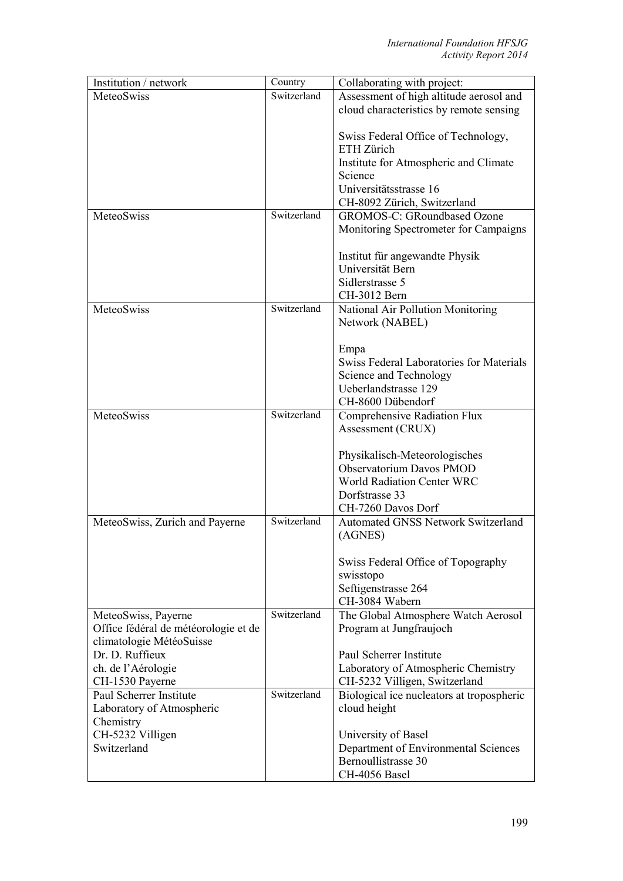| Institution / network                | Country     | Collaborating with project:               |
|--------------------------------------|-------------|-------------------------------------------|
| MeteoSwiss                           | Switzerland | Assessment of high altitude aerosol and   |
|                                      |             | cloud characteristics by remote sensing   |
|                                      |             |                                           |
|                                      |             | Swiss Federal Office of Technology,       |
|                                      |             | ETH Zürich                                |
|                                      |             | Institute for Atmospheric and Climate     |
|                                      |             | Science                                   |
|                                      |             | Universitätsstrasse 16                    |
|                                      |             | CH-8092 Zürich, Switzerland               |
| MeteoSwiss                           | Switzerland | <b>GROMOS-C: GRoundbased Ozone</b>        |
|                                      |             | Monitoring Spectrometer for Campaigns     |
|                                      |             |                                           |
|                                      |             | Institut für angewandte Physik            |
|                                      |             | Universität Bern                          |
|                                      |             | Sidlerstrasse 5                           |
|                                      |             | CH-3012 Bern                              |
| MeteoSwiss                           | Switzerland | National Air Pollution Monitoring         |
|                                      |             | Network (NABEL)                           |
|                                      |             |                                           |
|                                      |             | Empa                                      |
|                                      |             | Swiss Federal Laboratories for Materials  |
|                                      |             | Science and Technology                    |
|                                      |             | Ueberlandstrasse 129                      |
|                                      |             | CH-8600 Dübendorf                         |
| MeteoSwiss                           | Switzerland | Comprehensive Radiation Flux              |
|                                      |             | Assessment (CRUX)                         |
|                                      |             |                                           |
|                                      |             | Physikalisch-Meteorologisches             |
|                                      |             | Observatorium Davos PMOD                  |
|                                      |             | <b>World Radiation Center WRC</b>         |
|                                      |             | Dorfstrasse 33<br>CH-7260 Davos Dorf      |
|                                      | Switzerland | <b>Automated GNSS Network Switzerland</b> |
| MeteoSwiss, Zurich and Payerne       |             | (AGNES)                                   |
|                                      |             |                                           |
|                                      |             | Swiss Federal Office of Topography        |
|                                      |             | swisstopo                                 |
|                                      |             | Seftigenstrasse 264                       |
|                                      |             | CH-3084 Wabern                            |
| MeteoSwiss, Payerne                  | Switzerland | The Global Atmosphere Watch Aerosol       |
| Office fédéral de météorologie et de |             | Program at Jungfraujoch                   |
| climatologie MétéoSuisse             |             |                                           |
| Dr. D. Ruffieux                      |             | Paul Scherrer Institute                   |
| ch. de l'Aérologie                   |             | Laboratory of Atmospheric Chemistry       |
| CH-1530 Payerne                      |             | CH-5232 Villigen, Switzerland             |
| Paul Scherrer Institute              | Switzerland | Biological ice nucleators at tropospheric |
| Laboratory of Atmospheric            |             | cloud height                              |
| Chemistry                            |             |                                           |
| CH-5232 Villigen                     |             | University of Basel                       |
| Switzerland                          |             | Department of Environmental Sciences      |
|                                      |             | Bernoullistrasse 30                       |
|                                      |             | CH-4056 Basel                             |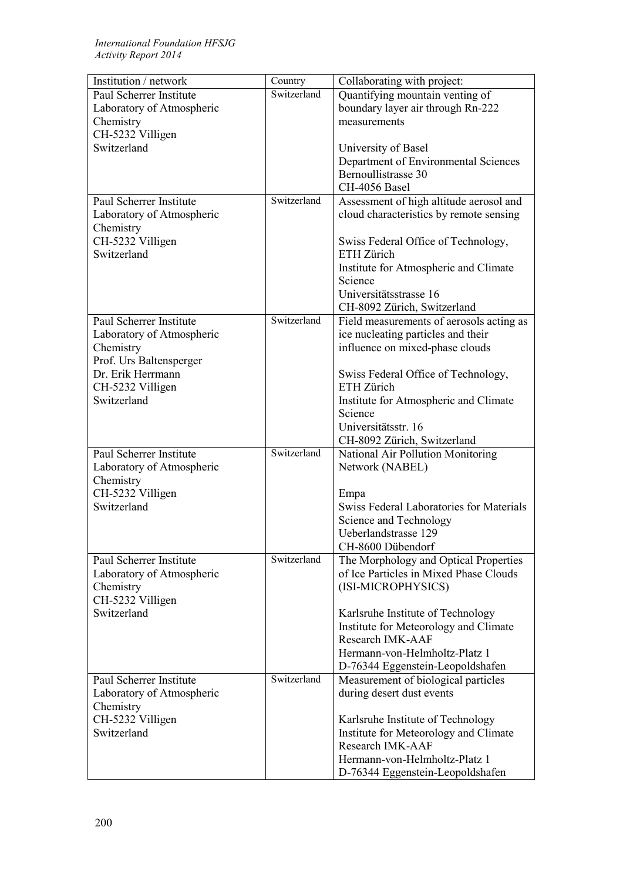| Institution / network           | Country     | Collaborating with project:                                             |
|---------------------------------|-------------|-------------------------------------------------------------------------|
| Paul Scherrer Institute         | Switzerland | Quantifying mountain venting of                                         |
| Laboratory of Atmospheric       |             | boundary layer air through Rn-222                                       |
| Chemistry                       |             | measurements                                                            |
| CH-5232 Villigen                |             |                                                                         |
| Switzerland                     |             | University of Basel                                                     |
|                                 |             | Department of Environmental Sciences                                    |
|                                 |             | Bernoullistrasse 30                                                     |
|                                 |             | CH-4056 Basel                                                           |
| Paul Scherrer Institute         | Switzerland | Assessment of high altitude aerosol and                                 |
| Laboratory of Atmospheric       |             | cloud characteristics by remote sensing                                 |
| Chemistry                       |             |                                                                         |
| CH-5232 Villigen                |             | Swiss Federal Office of Technology,                                     |
| Switzerland                     |             | ETH Zürich                                                              |
|                                 |             | Institute for Atmospheric and Climate                                   |
|                                 |             | Science                                                                 |
|                                 |             | Universitätsstrasse 16                                                  |
|                                 |             | CH-8092 Zürich, Switzerland                                             |
| Paul Scherrer Institute         | Switzerland | Field measurements of aerosols acting as                                |
| Laboratory of Atmospheric       |             | ice nucleating particles and their                                      |
| Chemistry                       |             | influence on mixed-phase clouds                                         |
| Prof. Urs Baltensperger         |             |                                                                         |
| Dr. Erik Herrmann               |             | Swiss Federal Office of Technology,                                     |
| CH-5232 Villigen                |             | ETH Zürich                                                              |
| Switzerland                     |             | Institute for Atmospheric and Climate                                   |
|                                 |             | Science                                                                 |
|                                 |             | Universitätsstr. 16                                                     |
|                                 |             | CH-8092 Zürich, Switzerland                                             |
| Paul Scherrer Institute         | Switzerland | National Air Pollution Monitoring                                       |
| Laboratory of Atmospheric       |             | Network (NABEL)                                                         |
| Chemistry                       |             |                                                                         |
| CH-5232 Villigen                |             | Empa                                                                    |
| Switzerland                     |             | Swiss Federal Laboratories for Materials                                |
|                                 |             | Science and Technology                                                  |
|                                 |             | Ueberlandstrasse 129                                                    |
|                                 |             | CH-8600 Dübendorf                                                       |
| Paul Scherrer Institute         | Switzerland | The Morphology and Optical Properties                                   |
| Laboratory of Atmospheric       |             | of Ice Particles in Mixed Phase Clouds                                  |
| Chemistry                       |             | (ISI-MICROPHYSICS)                                                      |
| CH-5232 Villigen                |             |                                                                         |
| Switzerland                     |             | Karlsruhe Institute of Technology                                       |
|                                 |             | Institute for Meteorology and Climate                                   |
|                                 |             | Research IMK-AAF                                                        |
|                                 |             | Hermann-von-Helmholtz-Platz 1                                           |
|                                 |             |                                                                         |
| Paul Scherrer Institute         | Switzerland | D-76344 Eggenstein-Leopoldshafen<br>Measurement of biological particles |
| Laboratory of Atmospheric       |             | during desert dust events                                               |
|                                 |             |                                                                         |
| Chemistry                       |             |                                                                         |
| CH-5232 Villigen<br>Switzerland |             | Karlsruhe Institute of Technology                                       |
|                                 |             | Institute for Meteorology and Climate<br>Research IMK-AAF               |
|                                 |             | Hermann-von-Helmholtz-Platz 1                                           |
|                                 |             |                                                                         |
|                                 |             | D-76344 Eggenstein-Leopoldshafen                                        |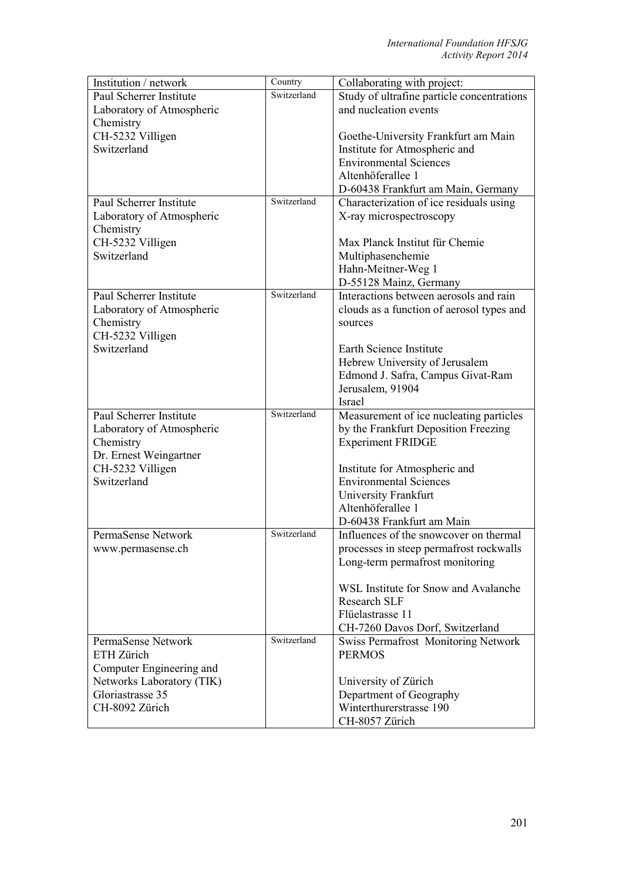| Institution / network                      | Country     | Collaborating with project:                                    |
|--------------------------------------------|-------------|----------------------------------------------------------------|
| Paul Scherrer Institute                    | Switzerland | Study of ultrafine particle concentrations                     |
| Laboratory of Atmospheric                  |             | and nucleation events                                          |
| Chemistry                                  |             |                                                                |
| CH-5232 Villigen                           |             | Goethe-University Frankfurt am Main                            |
| Switzerland                                |             | Institute for Atmospheric and                                  |
|                                            |             | <b>Environmental Sciences</b>                                  |
|                                            |             | Altenhöferallee 1                                              |
|                                            |             | D-60438 Frankfurt am Main, Germany                             |
| Paul Scherrer Institute                    | Switzerland | Characterization of ice residuals using                        |
| Laboratory of Atmospheric                  |             | X-ray microspectroscopy                                        |
| Chemistry                                  |             |                                                                |
| CH-5232 Villigen                           |             | Max Planck Institut für Chemie                                 |
| Switzerland                                |             | Multiphasenchemie                                              |
|                                            |             | Hahn-Meitner-Weg 1                                             |
|                                            |             | D-55128 Mainz, Germany                                         |
| Paul Scherrer Institute                    | Switzerland | Interactions between aerosols and rain                         |
| Laboratory of Atmospheric                  |             | clouds as a function of aerosol types and                      |
| Chemistry                                  |             | sources                                                        |
| CH-5232 Villigen                           |             |                                                                |
| Switzerland                                |             | Earth Science Institute                                        |
|                                            |             | Hebrew University of Jerusalem                                 |
|                                            |             | Edmond J. Safra, Campus Givat-Ram                              |
|                                            |             | Jerusalem, 91904                                               |
|                                            | Switzerland | Israel                                                         |
| Paul Scherrer Institute                    |             | Measurement of ice nucleating particles                        |
| Laboratory of Atmospheric                  |             | by the Frankfurt Deposition Freezing                           |
| Chemistry                                  |             | <b>Experiment FRIDGE</b>                                       |
| Dr. Ernest Weingartner<br>CH-5232 Villigen |             |                                                                |
| Switzerland                                |             | Institute for Atmospheric and<br><b>Environmental Sciences</b> |
|                                            |             | University Frankfurt                                           |
|                                            |             | Altenhöferallee 1                                              |
|                                            |             | D-60438 Frankfurt am Main                                      |
| PermaSense Network                         | Switzerland | Influences of the snowcover on thermal                         |
| www.permasense.ch                          |             | processes in steep permafrost rockwalls                        |
|                                            |             | Long-term permafrost monitoring                                |
|                                            |             |                                                                |
|                                            |             | WSL Institute for Snow and Avalanche                           |
|                                            |             | <b>Research SLF</b>                                            |
|                                            |             | Flüelastrasse 11                                               |
|                                            |             | CH-7260 Davos Dorf, Switzerland                                |
| PermaSense Network                         | Switzerland | Swiss Permafrost Monitoring Network                            |
| ETH Zürich                                 |             | <b>PERMOS</b>                                                  |
| Computer Engineering and                   |             |                                                                |
| Networks Laboratory (TIK)                  |             | University of Zürich                                           |
| Gloriastrasse 35                           |             | Department of Geography                                        |
| CH-8092 Zürich                             |             | Winterthurerstrasse 190                                        |
|                                            |             | CH-8057 Zürich                                                 |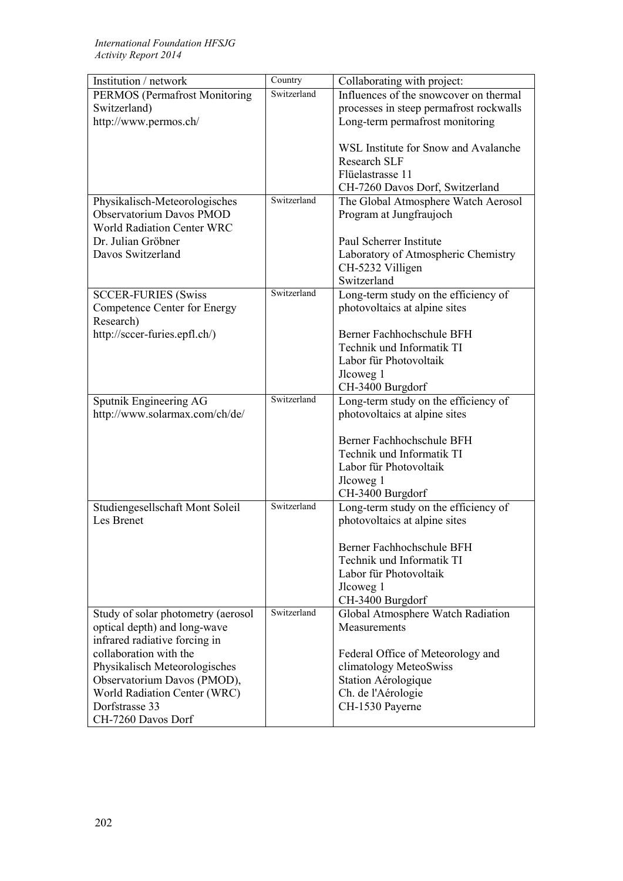| Institution / network                         | $\overline{\mathrm{Country}}$ | Collaborating with project:             |
|-----------------------------------------------|-------------------------------|-----------------------------------------|
| <b>PERMOS</b> (Permafrost Monitoring          | Switzerland                   | Influences of the snowcover on thermal  |
| Switzerland)                                  |                               | processes in steep permafrost rockwalls |
| http://www.permos.ch/                         |                               | Long-term permafrost monitoring         |
|                                               |                               |                                         |
|                                               |                               | WSL Institute for Snow and Avalanche    |
|                                               |                               | <b>Research SLF</b>                     |
|                                               |                               | Flüelastrasse 11                        |
|                                               |                               | CH-7260 Davos Dorf, Switzerland         |
| Physikalisch-Meteorologisches                 | Switzerland                   | The Global Atmosphere Watch Aerosol     |
| <b>Observatorium Davos PMOD</b>               |                               | Program at Jungfraujoch                 |
| <b>World Radiation Center WRC</b>             |                               |                                         |
| Dr. Julian Gröbner                            |                               | Paul Scherrer Institute                 |
| Davos Switzerland                             |                               | Laboratory of Atmospheric Chemistry     |
|                                               |                               | CH-5232 Villigen                        |
|                                               |                               | Switzerland                             |
| <b>SCCER-FURIES (Swiss</b>                    | Switzerland                   | Long-term study on the efficiency of    |
| Competence Center for Energy                  |                               | photovoltaics at alpine sites           |
| Research)                                     |                               |                                         |
| http://sccer-furies.epfl.ch/)                 |                               | Berner Fachhochschule BFH               |
|                                               |                               | Technik und Informatik TI               |
|                                               |                               | Labor für Photovoltaik                  |
|                                               |                               | Jlcoweg 1                               |
|                                               |                               | CH-3400 Burgdorf                        |
| Sputnik Engineering AG                        | Switzerland                   | Long-term study on the efficiency of    |
| http://www.solarmax.com/ch/de/                |                               | photovoltaics at alpine sites           |
|                                               |                               |                                         |
|                                               |                               | Berner Fachhochschule BFH               |
|                                               |                               | Technik und Informatik TI               |
|                                               |                               | Labor für Photovoltaik                  |
|                                               |                               | Jlcoweg 1                               |
|                                               | Switzerland                   | CH-3400 Burgdorf                        |
| Studiengesellschaft Mont Soleil<br>Les Brenet |                               | Long-term study on the efficiency of    |
|                                               |                               | photovoltaics at alpine sites           |
|                                               |                               | Berner Fachhochschule BFH               |
|                                               |                               | Technik und Informatik TI               |
|                                               |                               | Labor für Photovoltaik                  |
|                                               |                               | Jlcoweg 1                               |
|                                               |                               | CH-3400 Burgdorf                        |
| Study of solar photometry (aerosol            | Switzerland                   | Global Atmosphere Watch Radiation       |
| optical depth) and long-wave                  |                               | Measurements                            |
| infrared radiative forcing in                 |                               |                                         |
| collaboration with the                        |                               | Federal Office of Meteorology and       |
| Physikalisch Meteorologisches                 |                               | climatology MeteoSwiss                  |
| Observatorium Davos (PMOD),                   |                               | Station Aérologique                     |
| World Radiation Center (WRC)                  |                               | Ch. de l'Aérologie                      |
| Dorfstrasse 33                                |                               | CH-1530 Payerne                         |
| CH-7260 Davos Dorf                            |                               |                                         |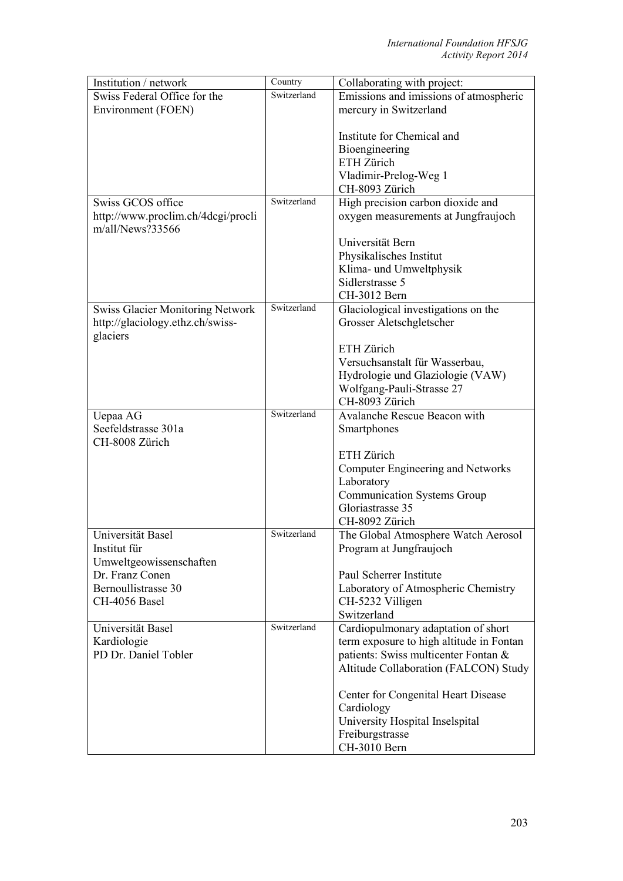| Institution / network                   | Country     | Collaborating with project:                |
|-----------------------------------------|-------------|--------------------------------------------|
| Swiss Federal Office for the            | Switzerland | Emissions and imissions of atmospheric     |
| Environment (FOEN)                      |             | mercury in Switzerland                     |
|                                         |             |                                            |
|                                         |             | Institute for Chemical and                 |
|                                         |             | Bioengineering                             |
|                                         |             | ETH Zürich                                 |
|                                         |             | Vladimir-Prelog-Weg 1                      |
|                                         |             | CH-8093 Zürich                             |
| Swiss GCOS office                       | Switzerland | High precision carbon dioxide and          |
| http://www.proclim.ch/4dcgi/procli      |             | oxygen measurements at Jungfraujoch        |
| $m/a$ ll/News?33566                     |             |                                            |
|                                         |             | Universität Bern                           |
|                                         |             | Physikalisches Institut                    |
|                                         |             |                                            |
|                                         |             | Klima- und Umweltphysik<br>Sidlerstrasse 5 |
|                                         |             |                                            |
|                                         | Switzerland | CH-3012 Bern                               |
| <b>Swiss Glacier Monitoring Network</b> |             | Glaciological investigations on the        |
| http://glaciology.ethz.ch/swiss-        |             | Grosser Aletschgletscher                   |
| glaciers                                |             |                                            |
|                                         |             | ETH Zürich                                 |
|                                         |             | Versuchsanstalt für Wasserbau,             |
|                                         |             | Hydrologie und Glaziologie (VAW)           |
|                                         |             | Wolfgang-Pauli-Strasse 27                  |
|                                         |             | CH-8093 Zürich                             |
| Uepaa AG                                | Switzerland | Avalanche Rescue Beacon with               |
| Seefeldstrasse 301a                     |             | Smartphones                                |
| CH-8008 Zürich                          |             |                                            |
|                                         |             | ETH Zürich                                 |
|                                         |             | Computer Engineering and Networks          |
|                                         |             | Laboratory                                 |
|                                         |             | <b>Communication Systems Group</b>         |
|                                         |             | Gloriastrasse 35                           |
|                                         |             | CH-8092 Zürich                             |
| Universität Basel                       | Switzerland | The Global Atmosphere Watch Aerosol        |
| Institut für                            |             | Program at Jungfraujoch                    |
| Umweltgeowissenschaften                 |             |                                            |
| Dr. Franz Conen                         |             | Paul Scherrer Institute                    |
| Bernoullistrasse 30                     |             | Laboratory of Atmospheric Chemistry        |
| CH-4056 Basel                           |             | CH-5232 Villigen                           |
|                                         |             | Switzerland                                |
| Universität Basel                       | Switzerland | Cardiopulmonary adaptation of short        |
| Kardiologie                             |             | term exposure to high altitude in Fontan   |
| PD Dr. Daniel Tobler                    |             | patients: Swiss multicenter Fontan &       |
|                                         |             | Altitude Collaboration (FALCON) Study      |
|                                         |             |                                            |
|                                         |             | Center for Congenital Heart Disease        |
|                                         |             | Cardiology                                 |
|                                         |             | University Hospital Inselspital            |
|                                         |             | Freiburgstrasse                            |
|                                         |             |                                            |
|                                         |             | CH-3010 Bern                               |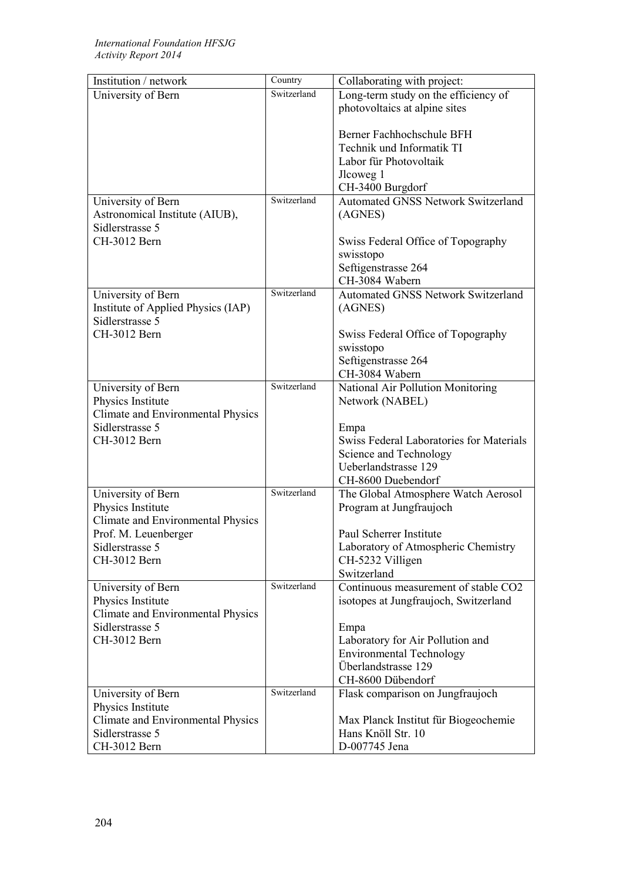| Switzerland<br>Long-term study on the efficiency of<br>University of Bern<br>photovoltaics at alpine sites<br>Berner Fachhochschule BFH<br>Technik und Informatik TI<br>Labor für Photovoltaik<br>Jlcoweg 1<br>CH-3400 Burgdorf<br>Switzerland<br><b>Automated GNSS Network Switzerland</b><br>University of Bern<br>Astronomical Institute (AIUB),<br>(AGNES) |
|----------------------------------------------------------------------------------------------------------------------------------------------------------------------------------------------------------------------------------------------------------------------------------------------------------------------------------------------------------------|
|                                                                                                                                                                                                                                                                                                                                                                |
|                                                                                                                                                                                                                                                                                                                                                                |
|                                                                                                                                                                                                                                                                                                                                                                |
|                                                                                                                                                                                                                                                                                                                                                                |
|                                                                                                                                                                                                                                                                                                                                                                |
|                                                                                                                                                                                                                                                                                                                                                                |
|                                                                                                                                                                                                                                                                                                                                                                |
|                                                                                                                                                                                                                                                                                                                                                                |
|                                                                                                                                                                                                                                                                                                                                                                |
|                                                                                                                                                                                                                                                                                                                                                                |
| Sidlerstrasse 5                                                                                                                                                                                                                                                                                                                                                |
| CH-3012 Bern<br>Swiss Federal Office of Topography                                                                                                                                                                                                                                                                                                             |
| swisstopo                                                                                                                                                                                                                                                                                                                                                      |
| Seftigenstrasse 264                                                                                                                                                                                                                                                                                                                                            |
| CH-3084 Wabern                                                                                                                                                                                                                                                                                                                                                 |
| Switzerland<br><b>Automated GNSS Network Switzerland</b><br>University of Bern                                                                                                                                                                                                                                                                                 |
| Institute of Applied Physics (IAP)<br>(AGNES)                                                                                                                                                                                                                                                                                                                  |
| Sidlerstrasse 5                                                                                                                                                                                                                                                                                                                                                |
| CH-3012 Bern<br>Swiss Federal Office of Topography                                                                                                                                                                                                                                                                                                             |
| swisstopo                                                                                                                                                                                                                                                                                                                                                      |
| Seftigenstrasse 264                                                                                                                                                                                                                                                                                                                                            |
| CH-3084 Wabern                                                                                                                                                                                                                                                                                                                                                 |
| Switzerland<br>National Air Pollution Monitoring<br>University of Bern                                                                                                                                                                                                                                                                                         |
| Physics Institute<br>Network (NABEL)                                                                                                                                                                                                                                                                                                                           |
| <b>Climate and Environmental Physics</b>                                                                                                                                                                                                                                                                                                                       |
| Sidlerstrasse 5<br>Empa                                                                                                                                                                                                                                                                                                                                        |
| <b>Swiss Federal Laboratories for Materials</b><br>CH-3012 Bern                                                                                                                                                                                                                                                                                                |
| Science and Technology                                                                                                                                                                                                                                                                                                                                         |
| Ueberlandstrasse 129                                                                                                                                                                                                                                                                                                                                           |
| CH-8600 Duebendorf                                                                                                                                                                                                                                                                                                                                             |
| Switzerland<br>The Global Atmosphere Watch Aerosol<br>University of Bern                                                                                                                                                                                                                                                                                       |
| Physics Institute<br>Program at Jungfraujoch                                                                                                                                                                                                                                                                                                                   |
| <b>Climate and Environmental Physics</b>                                                                                                                                                                                                                                                                                                                       |
| Prof. M. Leuenberger<br>Paul Scherrer Institute                                                                                                                                                                                                                                                                                                                |
| Laboratory of Atmospheric Chemistry<br>Sidlerstrasse 5                                                                                                                                                                                                                                                                                                         |
| CH-3012 Bern<br>CH-5232 Villigen                                                                                                                                                                                                                                                                                                                               |
| Switzerland                                                                                                                                                                                                                                                                                                                                                    |
| Switzerland<br>Continuous measurement of stable CO2<br>University of Bern                                                                                                                                                                                                                                                                                      |
| Physics Institute<br>isotopes at Jungfraujoch, Switzerland                                                                                                                                                                                                                                                                                                     |
| Climate and Environmental Physics                                                                                                                                                                                                                                                                                                                              |
| Sidlerstrasse 5<br>Empa                                                                                                                                                                                                                                                                                                                                        |
| CH-3012 Bern<br>Laboratory for Air Pollution and                                                                                                                                                                                                                                                                                                               |
| <b>Environmental Technology</b>                                                                                                                                                                                                                                                                                                                                |
| Überlandstrasse 129                                                                                                                                                                                                                                                                                                                                            |
| CH-8600 Dübendorf                                                                                                                                                                                                                                                                                                                                              |
| Switzerland<br>Flask comparison on Jungfraujoch<br>University of Bern                                                                                                                                                                                                                                                                                          |
| Physics Institute                                                                                                                                                                                                                                                                                                                                              |
| Climate and Environmental Physics<br>Max Planck Institut für Biogeochemie                                                                                                                                                                                                                                                                                      |
| Hans Knöll Str. 10<br>Sidlerstrasse 5                                                                                                                                                                                                                                                                                                                          |
| CH-3012 Bern<br>D-007745 Jena                                                                                                                                                                                                                                                                                                                                  |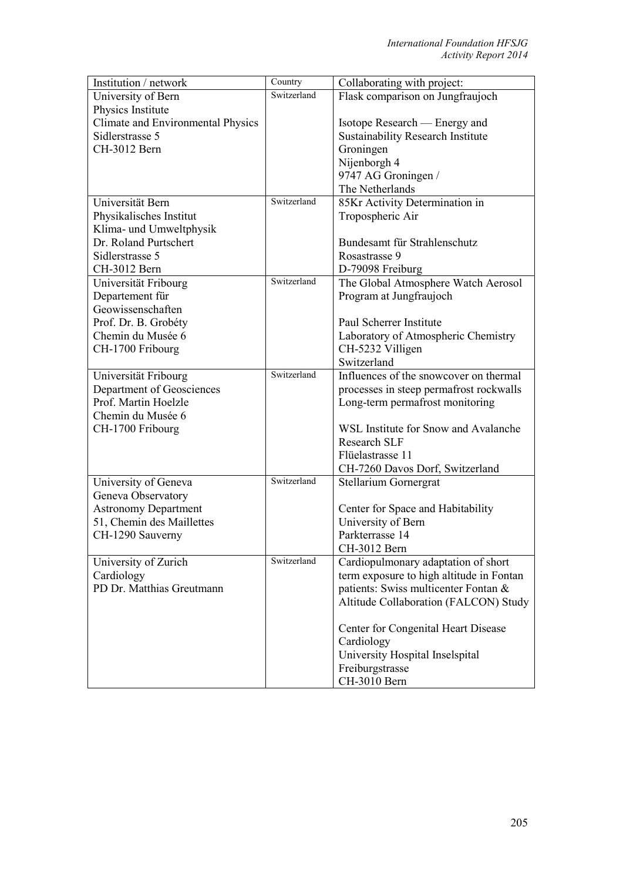| Institution / network                    | Country     | Collaborating with project:                                                |
|------------------------------------------|-------------|----------------------------------------------------------------------------|
| University of Bern                       | Switzerland | Flask comparison on Jungfraujoch                                           |
| Physics Institute                        |             |                                                                            |
| <b>Climate and Environmental Physics</b> |             | Isotope Research — Energy and                                              |
| Sidlerstrasse 5                          |             | <b>Sustainability Research Institute</b>                                   |
| CH-3012 Bern                             |             | Groningen                                                                  |
|                                          |             | Nijenborgh 4                                                               |
|                                          |             | 9747 AG Groningen /                                                        |
|                                          |             | The Netherlands                                                            |
| Universität Bern                         | Switzerland | 85Kr Activity Determination in                                             |
| Physikalisches Institut                  |             | Tropospheric Air                                                           |
| Klima- und Umweltphysik                  |             |                                                                            |
| Dr. Roland Purtschert                    |             | Bundesamt für Strahlenschutz                                               |
| Sidlerstrasse 5                          |             | Rosastrasse 9                                                              |
| CH-3012 Bern                             |             | D-79098 Freiburg                                                           |
| Universität Fribourg                     | Switzerland | The Global Atmosphere Watch Aerosol                                        |
| Departement für                          |             | Program at Jungfraujoch                                                    |
| Geowissenschaften                        |             |                                                                            |
| Prof. Dr. B. Grobéty                     |             | Paul Scherrer Institute                                                    |
| Chemin du Musée 6                        |             | Laboratory of Atmospheric Chemistry                                        |
| CH-1700 Fribourg                         |             | CH-5232 Villigen                                                           |
|                                          |             | Switzerland                                                                |
| Universität Fribourg                     | Switzerland | Influences of the snowcover on thermal                                     |
| Department of Geosciences                |             |                                                                            |
| Prof. Martin Hoelzle                     |             | processes in steep permafrost rockwalls<br>Long-term permafrost monitoring |
| Chemin du Musée 6                        |             |                                                                            |
|                                          |             | WSL Institute for Snow and Avalanche                                       |
| CH-1700 Fribourg                         |             | <b>Research SLF</b>                                                        |
|                                          |             | Flüelastrasse 11                                                           |
|                                          |             | CH-7260 Davos Dorf, Switzerland                                            |
|                                          | Switzerland |                                                                            |
| University of Geneva                     |             | Stellarium Gornergrat                                                      |
| Geneva Observatory                       |             |                                                                            |
| <b>Astronomy Department</b>              |             | Center for Space and Habitability                                          |
| 51, Chemin des Maillettes                |             | University of Bern<br>Parkterrasse 14                                      |
| CH-1290 Sauverny                         |             | CH-3012 Bern                                                               |
|                                          | Switzerland |                                                                            |
| University of Zurich                     |             | Cardiopulmonary adaptation of short                                        |
| Cardiology                               |             | term exposure to high altitude in Fontan                                   |
| PD Dr. Matthias Greutmann                |             | patients: Swiss multicenter Fontan &                                       |
|                                          |             | Altitude Collaboration (FALCON) Study                                      |
|                                          |             | Center for Congenital Heart Disease                                        |
|                                          |             | Cardiology                                                                 |
|                                          |             | University Hospital Inselspital                                            |
|                                          |             | Freiburgstrasse                                                            |
|                                          |             | CH-3010 Bern                                                               |
|                                          |             |                                                                            |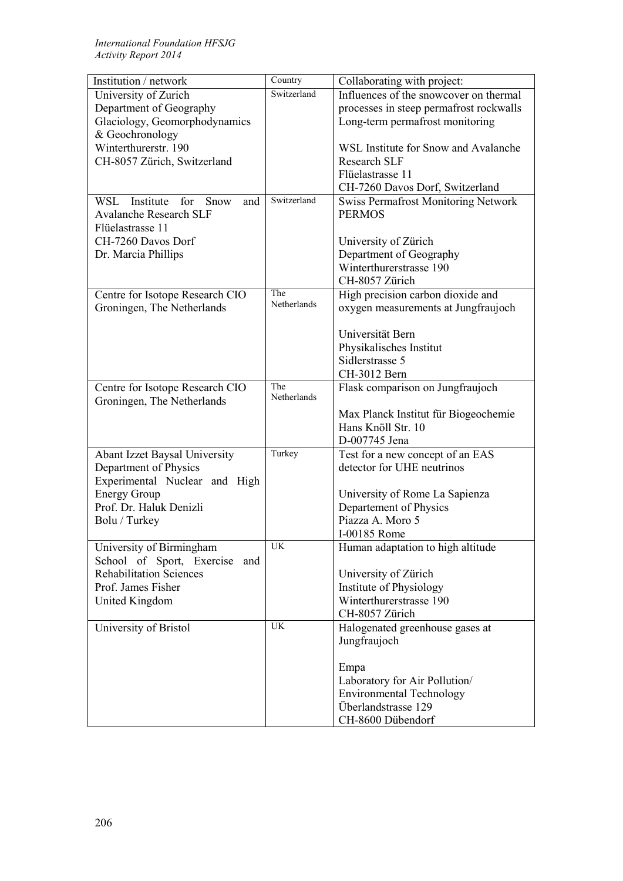| Institution / network                  | Country     | Collaborating with project:                |
|----------------------------------------|-------------|--------------------------------------------|
| University of Zurich                   | Switzerland | Influences of the snowcover on thermal     |
| Department of Geography                |             | processes in steep permafrost rockwalls    |
| Glaciology, Geomorphodynamics          |             | Long-term permafrost monitoring            |
| & Geochronology                        |             |                                            |
| Winterthurerstr. 190                   |             | WSL Institute for Snow and Avalanche       |
| CH-8057 Zürich, Switzerland            |             | <b>Research SLF</b>                        |
|                                        |             | Flüelastrasse 11                           |
|                                        |             | CH-7260 Davos Dorf, Switzerland            |
| Institute<br>WSL<br>for<br>Snow<br>and | Switzerland | <b>Swiss Permafrost Monitoring Network</b> |
| <b>Avalanche Research SLF</b>          |             | <b>PERMOS</b>                              |
| Flüelastrasse 11                       |             |                                            |
| CH-7260 Davos Dorf                     |             | University of Zürich                       |
| Dr. Marcia Phillips                    |             | Department of Geography                    |
|                                        |             | Winterthurerstrasse 190                    |
|                                        |             | CH-8057 Zürich                             |
| Centre for Isotope Research CIO        | The         | High precision carbon dioxide and          |
| Groningen, The Netherlands             | Netherlands | oxygen measurements at Jungfraujoch        |
|                                        |             |                                            |
|                                        |             | Universität Bern                           |
|                                        |             | Physikalisches Institut                    |
|                                        |             | Sidlerstrasse 5                            |
|                                        |             | CH-3012 Bern                               |
|                                        | The         |                                            |
| Centre for Isotope Research CIO        | Netherlands | Flask comparison on Jungfraujoch           |
| Groningen, The Netherlands             |             |                                            |
|                                        |             | Max Planck Institut für Biogeochemie       |
|                                        |             | Hans Knöll Str. 10                         |
|                                        | Turkey      | D-007745 Jena                              |
| <b>Abant Izzet Baysal University</b>   |             | Test for a new concept of an EAS           |
| Department of Physics                  |             | detector for UHE neutrinos                 |
| Experimental Nuclear and High          |             |                                            |
| <b>Energy Group</b>                    |             | University of Rome La Sapienza             |
| Prof. Dr. Haluk Denizli                |             | Departement of Physics                     |
| Bolu / Turkey                          |             | Piazza A. Moro 5                           |
|                                        |             | I-00185 Rome                               |
| University of Birmingham               | UK          | Human adaptation to high altitude          |
| School of Sport, Exercise and          |             |                                            |
| <b>Rehabilitation Sciences</b>         |             | University of Zürich                       |
| Prof. James Fisher                     |             | Institute of Physiology                    |
| United Kingdom                         |             | Winterthurerstrasse 190                    |
|                                        |             | CH-8057 Zürich                             |
| University of Bristol                  | UK          | Halogenated greenhouse gases at            |
|                                        |             | Jungfraujoch                               |
|                                        |             |                                            |
|                                        |             | Empa                                       |
|                                        |             | Laboratory for Air Pollution/              |
|                                        |             | <b>Environmental Technology</b>            |
|                                        |             | Überlandstrasse 129                        |
|                                        |             | CH-8600 Dübendorf                          |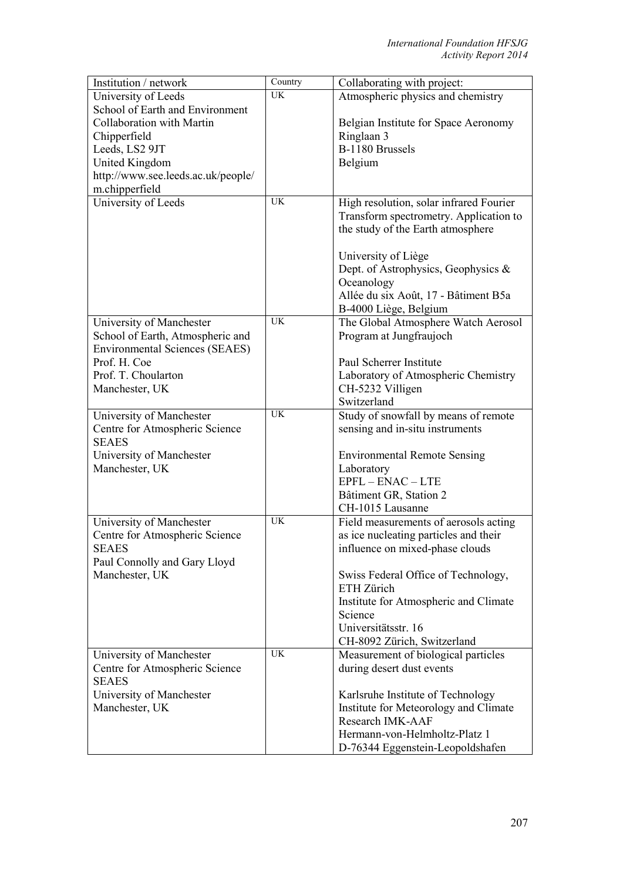| Institution / network                          | Country   | Collaborating with project:                       |
|------------------------------------------------|-----------|---------------------------------------------------|
| University of Leeds                            | <b>UK</b> | Atmospheric physics and chemistry                 |
| School of Earth and Environment                |           |                                                   |
| Collaboration with Martin                      |           | Belgian Institute for Space Aeronomy              |
| Chipperfield                                   |           | Ringlaan 3                                        |
| Leeds, LS2 9JT                                 |           | B-1180 Brussels                                   |
| <b>United Kingdom</b>                          |           | Belgium                                           |
| http://www.see.leeds.ac.uk/people/             |           |                                                   |
| m.chipperfield                                 |           |                                                   |
| University of Leeds                            | <b>UK</b> | High resolution, solar infrared Fourier           |
|                                                |           | Transform spectrometry. Application to            |
|                                                |           | the study of the Earth atmosphere                 |
|                                                |           |                                                   |
|                                                |           | University of Liège                               |
|                                                |           | Dept. of Astrophysics, Geophysics &               |
|                                                |           | Oceanology                                        |
|                                                |           | Allée du six Août, 17 - Bâtiment B5a              |
|                                                |           | B-4000 Liège, Belgium                             |
| University of Manchester                       | <b>UK</b> | The Global Atmosphere Watch Aerosol               |
| School of Earth, Atmospheric and               |           | Program at Jungfraujoch                           |
| <b>Environmental Sciences (SEAES)</b>          |           |                                                   |
| Prof. H. Coe                                   |           | Paul Scherrer Institute                           |
| Prof. T. Choularton                            |           | Laboratory of Atmospheric Chemistry               |
| Manchester, UK                                 |           | CH-5232 Villigen                                  |
|                                                |           | Switzerland                                       |
| University of Manchester                       | <b>UK</b> | Study of snowfall by means of remote              |
| Centre for Atmospheric Science                 |           | sensing and in-situ instruments                   |
| <b>SEAES</b>                                   |           |                                                   |
| University of Manchester                       |           |                                                   |
| Manchester, UK                                 |           | <b>Environmental Remote Sensing</b><br>Laboratory |
|                                                |           | $EPFL - ENAC - LTE$                               |
|                                                |           |                                                   |
|                                                |           | Bâtiment GR, Station 2                            |
|                                                | UK        | CH-1015 Lausanne                                  |
| University of Manchester                       |           | Field measurements of aerosols acting             |
| Centre for Atmospheric Science<br><b>SEAES</b> |           | as ice nucleating particles and their             |
|                                                |           | influence on mixed-phase clouds                   |
| Paul Connolly and Gary Lloyd                   |           |                                                   |
| Manchester, UK                                 |           | Swiss Federal Office of Technology,<br>ETH Zürich |
|                                                |           |                                                   |
|                                                |           | Institute for Atmospheric and Climate             |
|                                                |           | Science<br>Universitätsstr. 16                    |
|                                                |           |                                                   |
|                                                | <b>UK</b> | CH-8092 Zürich, Switzerland                       |
| University of Manchester                       |           | Measurement of biological particles               |
| Centre for Atmospheric Science                 |           | during desert dust events                         |
| <b>SEAES</b>                                   |           |                                                   |
| University of Manchester                       |           | Karlsruhe Institute of Technology                 |
| Manchester, UK                                 |           | Institute for Meteorology and Climate             |
|                                                |           | Research IMK-AAF                                  |
|                                                |           | Hermann-von-Helmholtz-Platz 1                     |
|                                                |           | D-76344 Eggenstein-Leopoldshafen                  |